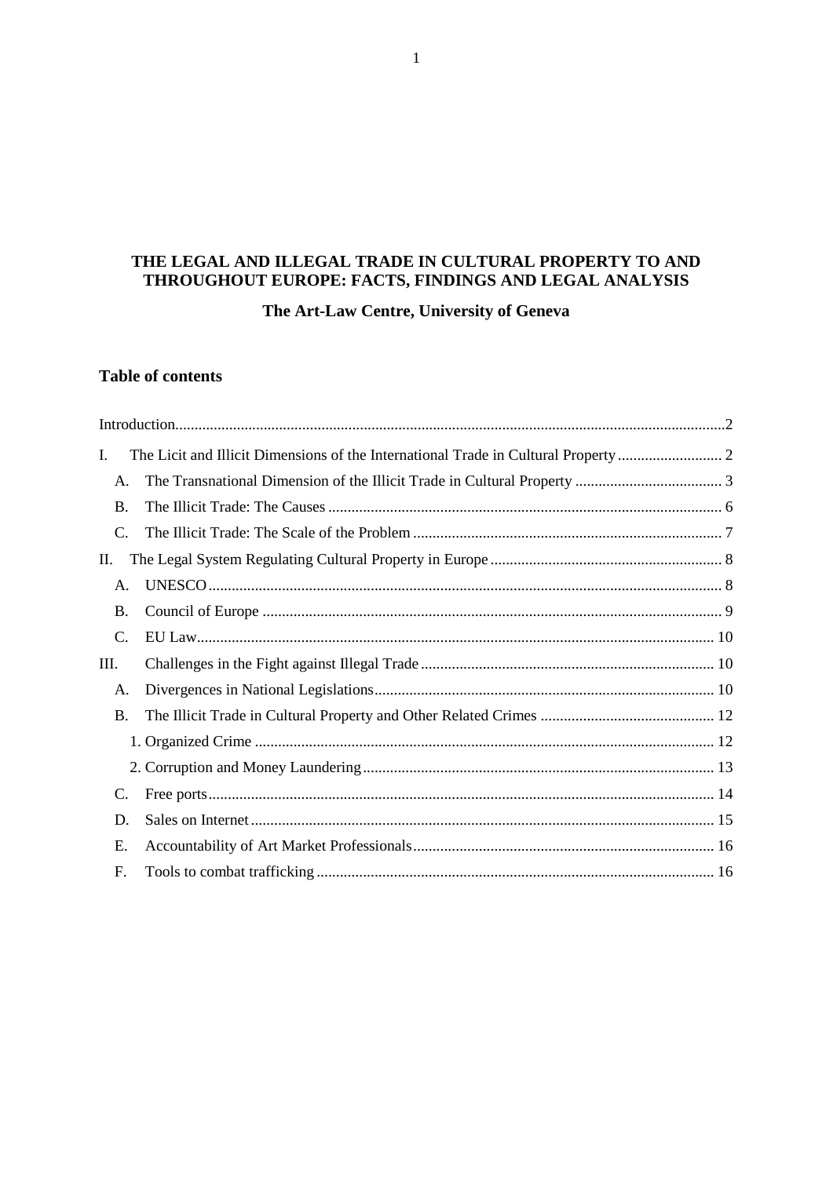# THE LEGAL AND ILLEGAL TRADE IN CULTURAL PROPERTY TO AND THROUGHOUT EUROPE: FACTS, FINDINGS AND LEGAL ANALYSIS

The Art-Law Centre, University of Geneva

# **Table of contents**

| I.        |  |  |
|-----------|--|--|
| A.        |  |  |
| <b>B.</b> |  |  |
| C.        |  |  |
| П.        |  |  |
| A.        |  |  |
| <b>B.</b> |  |  |
| C.        |  |  |
| III.      |  |  |
| A.        |  |  |
| <b>B.</b> |  |  |
|           |  |  |
|           |  |  |
| C.        |  |  |
| D.        |  |  |
| Е.        |  |  |
| F.        |  |  |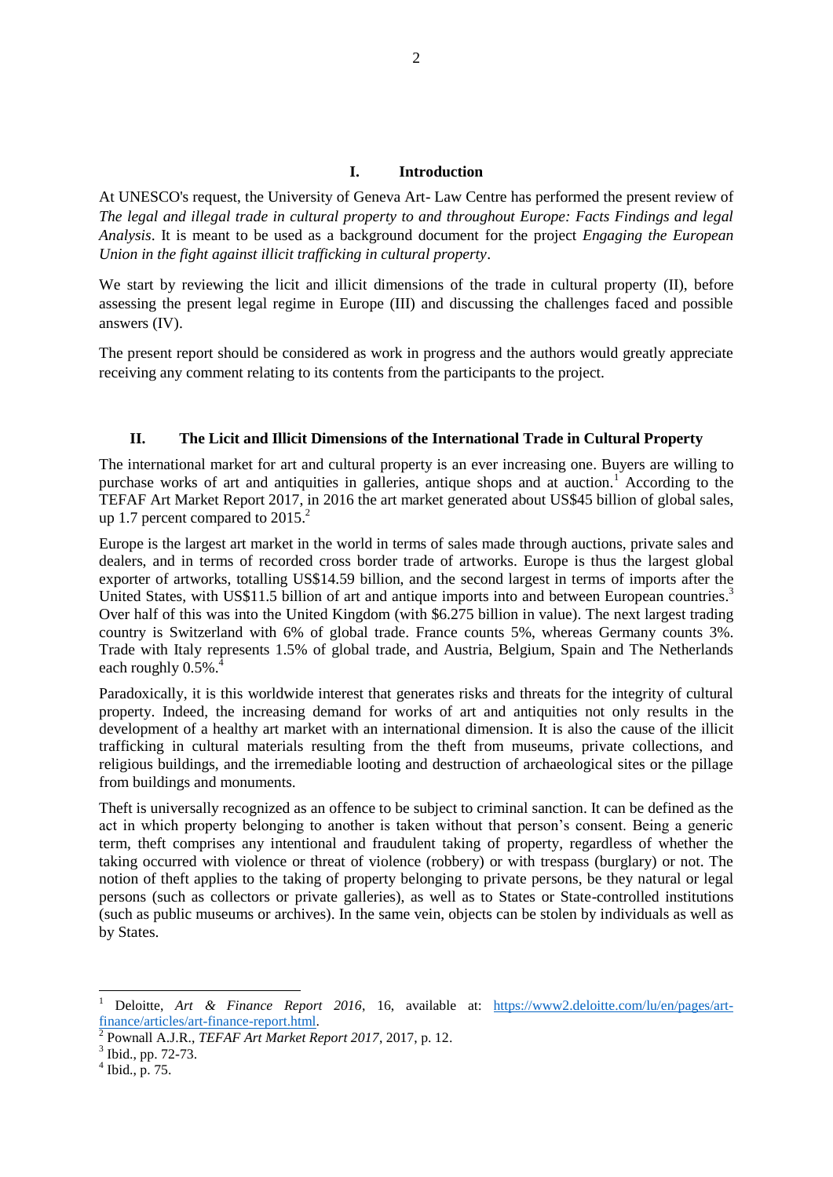### **I. Introduction**

<span id="page-1-0"></span>At UNESCO's request, the University of Geneva Art- Law Centre has performed the present review of *The legal and illegal trade in cultural property to and throughout Europe: Facts Findings and legal Analysis*. It is meant to be used as a background document for the project *Engaging the European Union in the fight against illicit trafficking in cultural property*.

We start by reviewing the licit and illicit dimensions of the trade in cultural property (II), before assessing the present legal regime in Europe (III) and discussing the challenges faced and possible answers (IV).

The present report should be considered as work in progress and the authors would greatly appreciate receiving any comment relating to its contents from the participants to the project.

#### <span id="page-1-1"></span>**II. The Licit and Illicit Dimensions of the International Trade in Cultural Property**

The international market for art and cultural property is an ever increasing one. Buyers are willing to purchase works of art and antiquities in galleries, antique shops and at auction.<sup>1</sup> According to the TEFAF Art Market Report 2017, in 2016 the art market generated about US\$45 billion of global sales, up 1.7 percent compared to 2015.<sup>2</sup>

Europe is the largest art market in the world in terms of sales made through auctions, private sales and dealers, and in terms of recorded cross border trade of artworks. Europe is thus the largest global exporter of artworks, totalling US\$14.59 billion, and the second largest in terms of imports after the United States, with US\$11.5 billion of art and antique imports into and between European countries.<sup>3</sup> Over half of this was into the United Kingdom (with \$6.275 billion in value). The next largest trading country is Switzerland with 6% of global trade. France counts 5%, whereas Germany counts 3%. Trade with Italy represents 1.5% of global trade, and Austria, Belgium, Spain and The Netherlands each roughly  $0.5\%$ <sup>4</sup>

Paradoxically, it is this worldwide interest that generates risks and threats for the integrity of cultural property. Indeed, the increasing demand for works of art and antiquities not only results in the development of a healthy art market with an international dimension. It is also the cause of the illicit trafficking in cultural materials resulting from the theft from museums, private collections, and religious buildings, and the irremediable looting and destruction of archaeological sites or the pillage from buildings and monuments.

Theft is universally recognized as an offence to be subject to criminal sanction. It can be defined as the act in which property belonging to another is taken without that person's consent. Being a generic term, theft comprises any intentional and fraudulent taking of property, regardless of whether the taking occurred with violence or threat of violence (robbery) or with trespass (burglary) or not. The notion of theft applies to the taking of property belonging to private persons, be they natural or legal persons (such as collectors or private galleries), as well as to States or State-controlled institutions (such as public museums or archives). In the same vein, objects can be stolen by individuals as well as by States.

<sup>1</sup> Deloitte, *Art & Finance Report 2016*, 16, available at: [https://www2.deloitte.com/lu/en/pages/art](https://www2.deloitte.com/lu/en/pages/art-finance/articles/art-finance-report.html)[finance/articles/art-finance-report.html.](https://www2.deloitte.com/lu/en/pages/art-finance/articles/art-finance-report.html)

<sup>2</sup> Pownall A.J.R., *TEFAF Art Market Report 2017*, 2017, p. 12.

<sup>&</sup>lt;sup>3</sup> Ibid., pp. 72-73.

 $<sup>4</sup>$  Ibid., p. 75.</sup>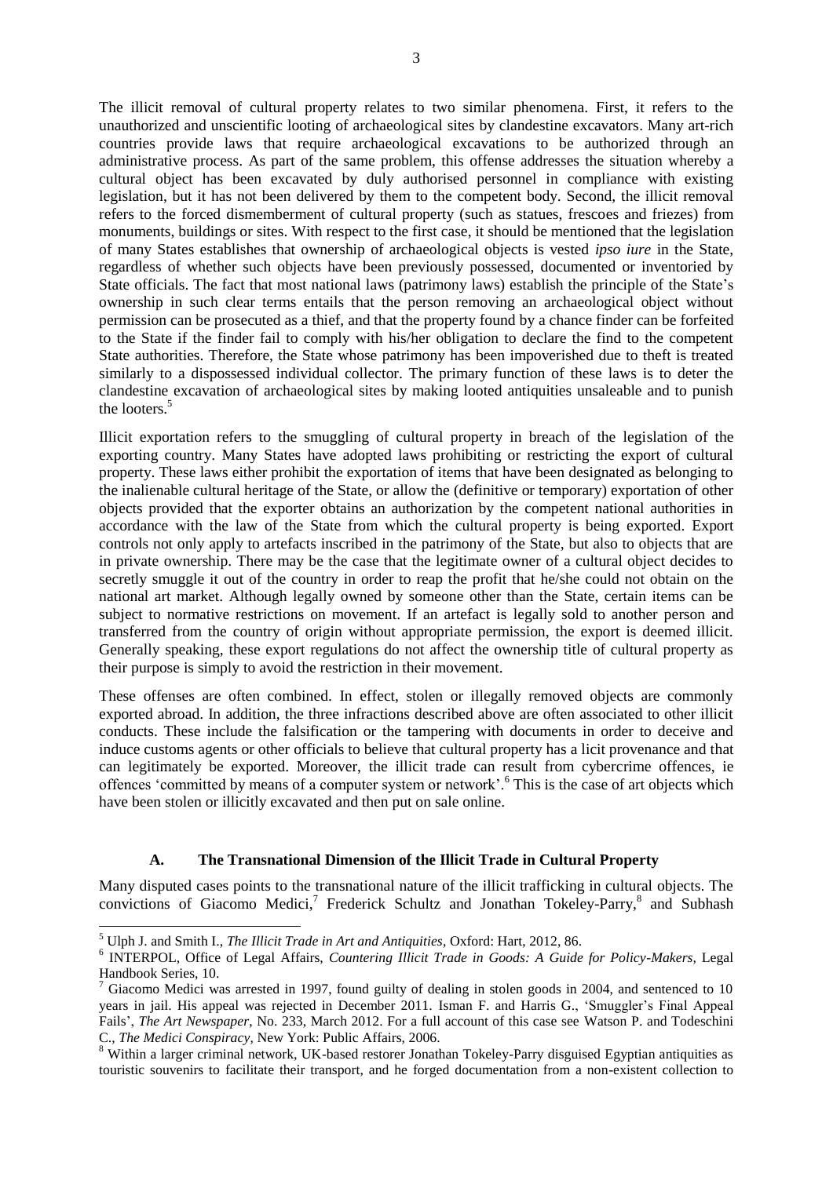The illicit removal of cultural property relates to two similar phenomena. First, it refers to the unauthorized and unscientific looting of archaeological sites by clandestine excavators. Many art-rich countries provide laws that require archaeological excavations to be authorized through an administrative process. As part of the same problem, this offense addresses the situation whereby a cultural object has been excavated by duly authorised personnel in compliance with existing legislation, but it has not been delivered by them to the competent body. Second, the illicit removal refers to the forced dismemberment of cultural property (such as statues, frescoes and friezes) from monuments, buildings or sites. With respect to the first case, it should be mentioned that the legislation of many States establishes that ownership of archaeological objects is vested *ipso iure* in the State, regardless of whether such objects have been previously possessed, documented or inventoried by State officials. The fact that most national laws (patrimony laws) establish the principle of the State's ownership in such clear terms entails that the person removing an archaeological object without permission can be prosecuted as a thief, and that the property found by a chance finder can be forfeited to the State if the finder fail to comply with his/her obligation to declare the find to the competent State authorities. Therefore, the State whose patrimony has been impoverished due to theft is treated similarly to a dispossessed individual collector. The primary function of these laws is to deter the clandestine excavation of archaeological sites by making looted antiquities unsaleable and to punish the looters.<sup>5</sup>

<span id="page-2-1"></span>Illicit exportation refers to the smuggling of cultural property in breach of the legislation of the exporting country. Many States have adopted laws prohibiting or restricting the export of cultural property. These laws either prohibit the exportation of items that have been designated as belonging to the inalienable cultural heritage of the State, or allow the (definitive or temporary) exportation of other objects provided that the exporter obtains an authorization by the competent national authorities in accordance with the law of the State from which the cultural property is being exported. Export controls not only apply to artefacts inscribed in the patrimony of the State, but also to objects that are in private ownership. There may be the case that the legitimate owner of a cultural object decides to secretly smuggle it out of the country in order to reap the profit that he/she could not obtain on the national art market. Although legally owned by someone other than the State, certain items can be subject to normative restrictions on movement. If an artefact is legally sold to another person and transferred from the country of origin without appropriate permission, the export is deemed illicit. Generally speaking, these export regulations do not affect the ownership title of cultural property as their purpose is simply to avoid the restriction in their movement.

These offenses are often combined. In effect, stolen or illegally removed objects are commonly exported abroad. In addition, the three infractions described above are often associated to other illicit conducts. These include the falsification or the tampering with documents in order to deceive and induce customs agents or other officials to believe that cultural property has a licit provenance and that can legitimately be exported. Moreover, the illicit trade can result from cybercrime offences, ie offences 'committed by means of a computer system or network'.<sup>6</sup> This is the case of art objects which have been stolen or illicitly excavated and then put on sale online.

### <span id="page-2-4"></span><span id="page-2-3"></span><span id="page-2-2"></span>**A. The Transnational Dimension of the Illicit Trade in Cultural Property**

<span id="page-2-0"></span>Many disputed cases points to the transnational nature of the illicit trafficking in cultural objects. The convictions of Giacomo Medici,<sup>7</sup> Frederick Schultz and Jonathan Tokeley-Parry,<sup>8</sup> and Subhash

<sup>5</sup> Ulph J. and Smith I., *The Illicit Trade in Art and Antiquities*, Oxford: Hart, 2012, 86.

<sup>6</sup> INTERPOL, Office of Legal Affairs, *Countering Illicit Trade in Goods: A Guide for Policy-Makers*, Legal Handbook Series, 10.

Giacomo Medici was arrested in 1997, found guilty of dealing in stolen goods in 2004, and sentenced to 10 years in jail. His appeal was rejected in December 2011. Isman F. and Harris G., 'Smuggler's Final Appeal Fails', *The Art Newspaper*, No. 233, March 2012. For a full account of this case see Watson P. and Todeschini C., *The Medici Conspiracy*, New York: Public Affairs, 2006.

<sup>8</sup> Within a larger criminal network, UK-based restorer Jonathan Tokeley-Parry disguised Egyptian antiquities as touristic souvenirs to facilitate their transport, and he forged documentation from a non-existent collection to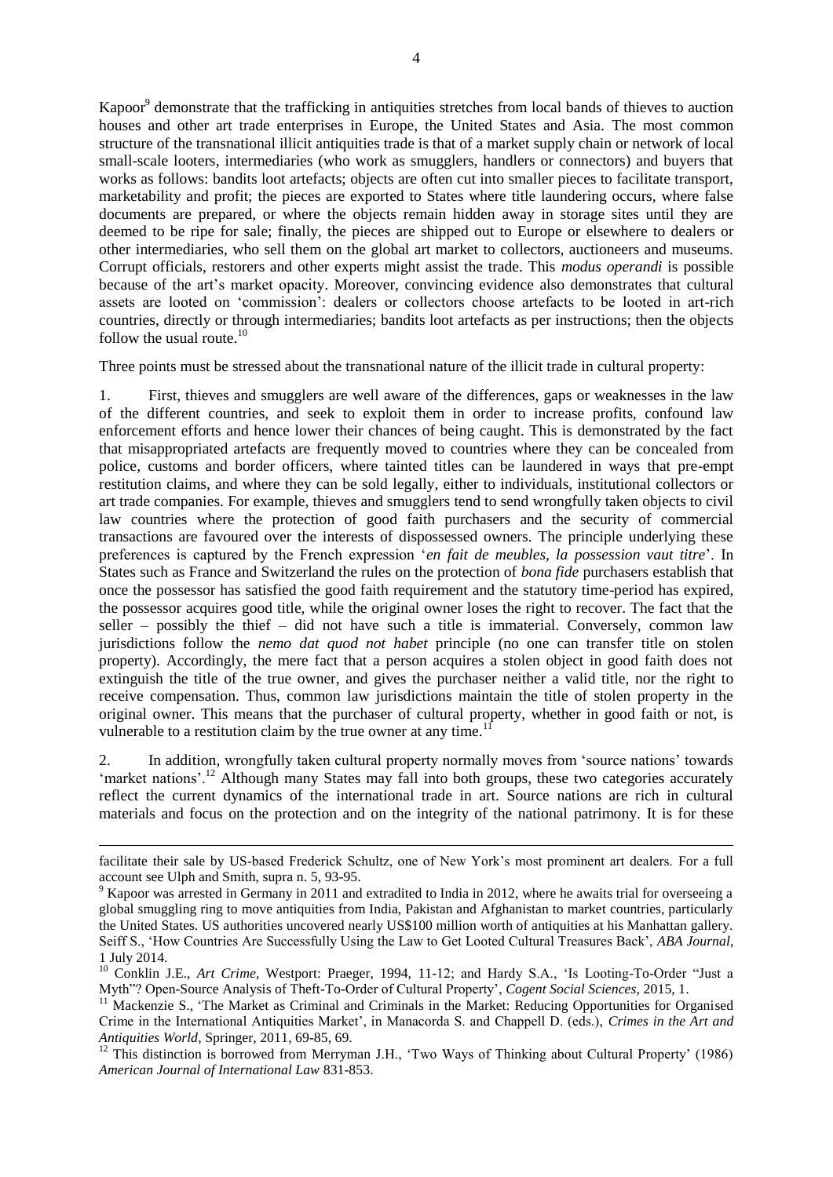<span id="page-3-1"></span>Kapoor<sup>9</sup> demonstrate that the trafficking in antiquities stretches from local bands of thieves to auction houses and other art trade enterprises in Europe, the United States and Asia. The most common structure of the transnational illicit antiquities trade is that of a market supply chain or network of local small-scale looters, intermediaries (who work as smugglers, handlers or connectors) and buyers that works as follows: bandits loot artefacts; objects are often cut into smaller pieces to facilitate transport, marketability and profit; the pieces are exported to States where title laundering occurs, where false documents are prepared, or where the objects remain hidden away in storage sites until they are deemed to be ripe for sale; finally, the pieces are shipped out to Europe or elsewhere to dealers or other intermediaries, who sell them on the global art market to collectors, auctioneers and museums. Corrupt officials, restorers and other experts might assist the trade. This *modus operandi* is possible because of the art's market opacity. Moreover, convincing evidence also demonstrates that cultural assets are looted on 'commission': dealers or collectors choose artefacts to be looted in art-rich countries, directly or through intermediaries; bandits loot artefacts as per instructions; then the objects follow the usual route. $10$ 

<span id="page-3-0"></span>Three points must be stressed about the transnational nature of the illicit trade in cultural property:

1. First, thieves and smugglers are well aware of the differences, gaps or weaknesses in the law of the different countries, and seek to exploit them in order to increase profits, confound law enforcement efforts and hence lower their chances of being caught. This is demonstrated by the fact that misappropriated artefacts are frequently moved to countries where they can be concealed from police, customs and border officers, where tainted titles can be laundered in ways that pre-empt restitution claims, and where they can be sold legally, either to individuals, institutional collectors or art trade companies. For example, thieves and smugglers tend to send wrongfully taken objects to civil law countries where the protection of good faith purchasers and the security of commercial transactions are favoured over the interests of dispossessed owners. The principle underlying these preferences is captured by the French expression '*en fait de meubles, la possession vaut titre*'. In States such as France and Switzerland the rules on the protection of *bona fide* purchasers establish that once the possessor has satisfied the good faith requirement and the statutory time-period has expired, the possessor acquires good title, while the original owner loses the right to recover. The fact that the seller – possibly the thief – did not have such a title is immaterial. Conversely, common law jurisdictions follow the *nemo dat quod not habet* principle (no one can transfer title on stolen property). Accordingly, the mere fact that a person acquires a stolen object in good faith does not extinguish the title of the true owner, and gives the purchaser neither a valid title, nor the right to receive compensation. Thus, common law jurisdictions maintain the title of stolen property in the original owner. This means that the purchaser of cultural property, whether in good faith or not, is vulnerable to a restitution claim by the true owner at any time.<sup>1</sup>

2. In addition, wrongfully taken cultural property normally moves from 'source nations' towards 'market nations'.<sup>12</sup> Although many States may fall into both groups, these two categories accurately reflect the current dynamics of the international trade in art. Source nations are rich in cultural materials and focus on the protection and on the integrity of the national patrimony. It is for these

 $\overline{a}$ 

facilitate their sale by US-based Frederick Schultz, one of New York's most prominent art dealers. For a full account see Ulph and Smith, supra n. [5,](#page-2-1) 93-95.

<sup>&</sup>lt;sup>9</sup> Kapoor was arrested in Germany in 2011 and extradited to India in 2012, where he awaits trial for overseeing a global smuggling ring to move antiquities from India, Pakistan and Afghanistan to market countries, particularly the United States. US authorities uncovered nearly US\$100 million worth of antiquities at his Manhattan gallery. Seiff S., 'How Countries Are Successfully Using the Law to Get Looted Cultural Treasures Back', *ABA Journal*, 1 July 2014.

<sup>&</sup>lt;sup>10</sup> Conklin J.E., *Art Crime*, Westport: Praeger, 1994, 11-12; and Hardy S.A., 'Is Looting-To-Order "Just a Myth"? Open-Source Analysis of Theft-To-Order of Cultural Property', *Cogent Social Sciences*, 2015, 1.

<sup>&</sup>lt;sup>11</sup> Mackenzie S., 'The Market as Criminal and Criminals in the Market: Reducing Opportunities for Organised Crime in the International Antiquities Market', in Manacorda S. and Chappell D. (eds.), *Crimes in the Art and Antiquities World*, Springer, 2011, 69-85, 69.

<sup>&</sup>lt;sup>12</sup> This distinction is borrowed from Merryman J.H., 'Two Ways of Thinking about Cultural Property' (1986) *American Journal of International Law* 831-853.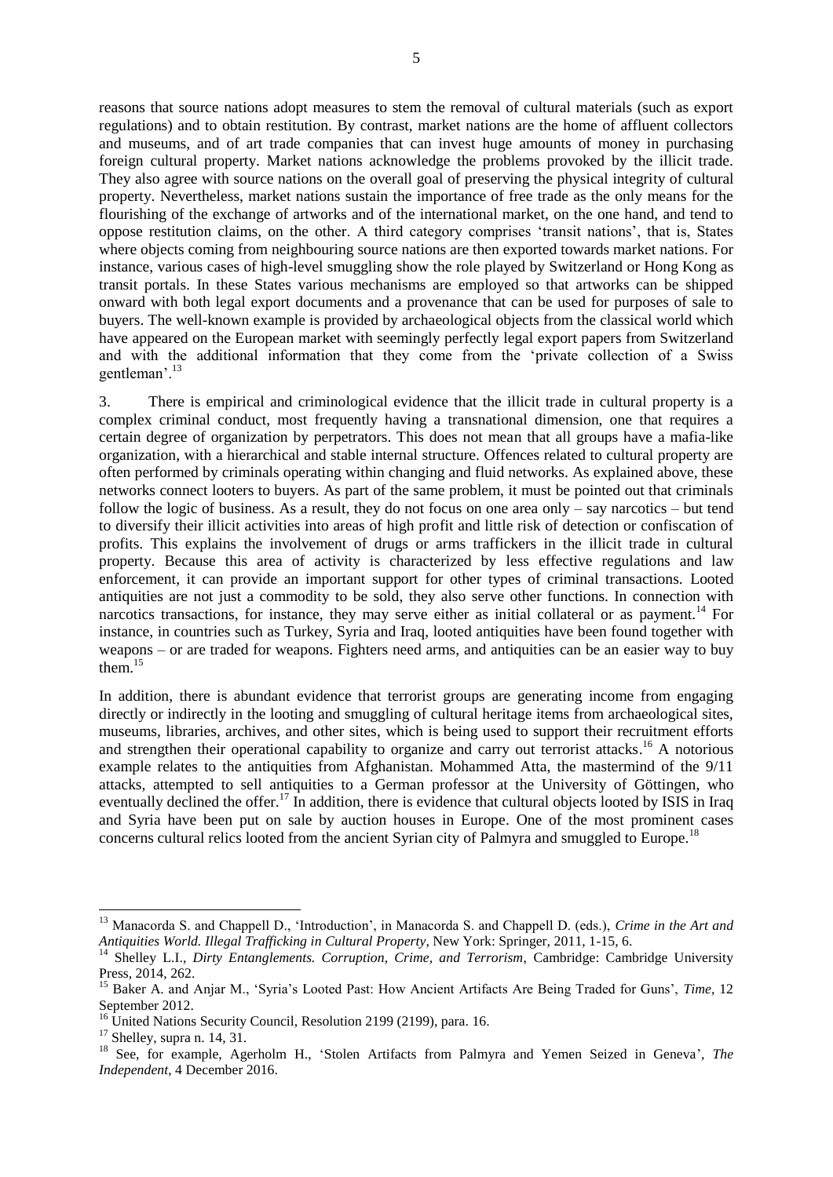reasons that source nations adopt measures to stem the removal of cultural materials (such as export regulations) and to obtain restitution. By contrast, market nations are the home of affluent collectors and museums, and of art trade companies that can invest huge amounts of money in purchasing foreign cultural property. Market nations acknowledge the problems provoked by the illicit trade. They also agree with source nations on the overall goal of preserving the physical integrity of cultural property. Nevertheless, market nations sustain the importance of free trade as the only means for the flourishing of the exchange of artworks and of the international market, on the one hand, and tend to oppose restitution claims, on the other. A third category comprises 'transit nations', that is, States where objects coming from neighbouring source nations are then exported towards market nations. For instance, various cases of high-level smuggling show the role played by Switzerland or Hong Kong as transit portals. In these States various mechanisms are employed so that artworks can be shipped onward with both legal export documents and a provenance that can be used for purposes of sale to buyers. The well-known example is provided by archaeological objects from the classical world which have appeared on the European market with seemingly perfectly legal export papers from Switzerland and with the additional information that they come from the 'private collection of a Swiss gentleman'.<sup>13</sup>

3. There is empirical and criminological evidence that the illicit trade in cultural property is a complex criminal conduct, most frequently having a transnational dimension, one that requires a certain degree of organization by perpetrators. This does not mean that all groups have a mafia-like organization, with a hierarchical and stable internal structure. Offences related to cultural property are often performed by criminals operating within changing and fluid networks. As explained above, these networks connect looters to buyers. As part of the same problem, it must be pointed out that criminals follow the logic of business. As a result, they do not focus on one area only – say narcotics – but tend to diversify their illicit activities into areas of high profit and little risk of detection or confiscation of profits. This explains the involvement of drugs or arms traffickers in the illicit trade in cultural property. Because this area of activity is characterized by less effective regulations and law enforcement, it can provide an important support for other types of criminal transactions. Looted antiquities are not just a commodity to be sold, they also serve other functions. In connection with narcotics transactions, for instance, they may serve either as initial collateral or as payment.<sup>14</sup> For instance, in countries such as Turkey, Syria and Iraq, looted antiquities have been found together with weapons – or are traded for weapons. Fighters need arms, and antiquities can be an easier way to buy them. $15$ 

<span id="page-4-0"></span>In addition, there is abundant evidence that terrorist groups are generating income from engaging directly or indirectly in the looting and smuggling of cultural heritage items from archaeological sites, museums, libraries, archives, and other sites, which is being used to support their recruitment efforts and strengthen their operational capability to organize and carry out terrorist attacks. <sup>16</sup> A notorious example relates to the antiquities from Afghanistan. Mohammed Atta, the mastermind of the 9/11 attacks, attempted to sell antiquities to a German professor at the University of Göttingen, who eventually declined the offer.<sup>17</sup> In addition, there is evidence that cultural objects looted by ISIS in Iraq and Syria have been put on sale by auction houses in Europe. One of the most prominent cases concerns cultural relics looted from the ancient Syrian city of Palmyra and smuggled to Europe.<sup>18</sup>

<sup>13</sup> Manacorda S. and Chappell D., 'Introduction', in Manacorda S. and Chappell D. (eds.), *Crime in the Art and Antiquities World. Illegal Trafficking in Cultural Property*, New York: Springer, 2011, 1-15, 6.

<sup>&</sup>lt;sup>14</sup> Shelley L.I., *Dirty Entanglements. Corruption, Crime, and Terrorism*, Cambridge: Cambridge University Press, 2014, 262.

<sup>15</sup> Baker A. and Anjar M., 'Syria's Looted Past: How Ancient Artifacts Are Being Traded for Guns', *Time*, 12 September 2012.

 $16$  United Nations Security Council, Resolution 2199 (2199), para. 16.

 $17$  Shelley, supra n. [14,](#page-4-0) 31.

<sup>&</sup>lt;sup>18</sup> See, for example, Agerholm H., 'Stolen Artifacts from Palmyra and Yemen Seized in Geneva', *The Independent*, 4 December 2016.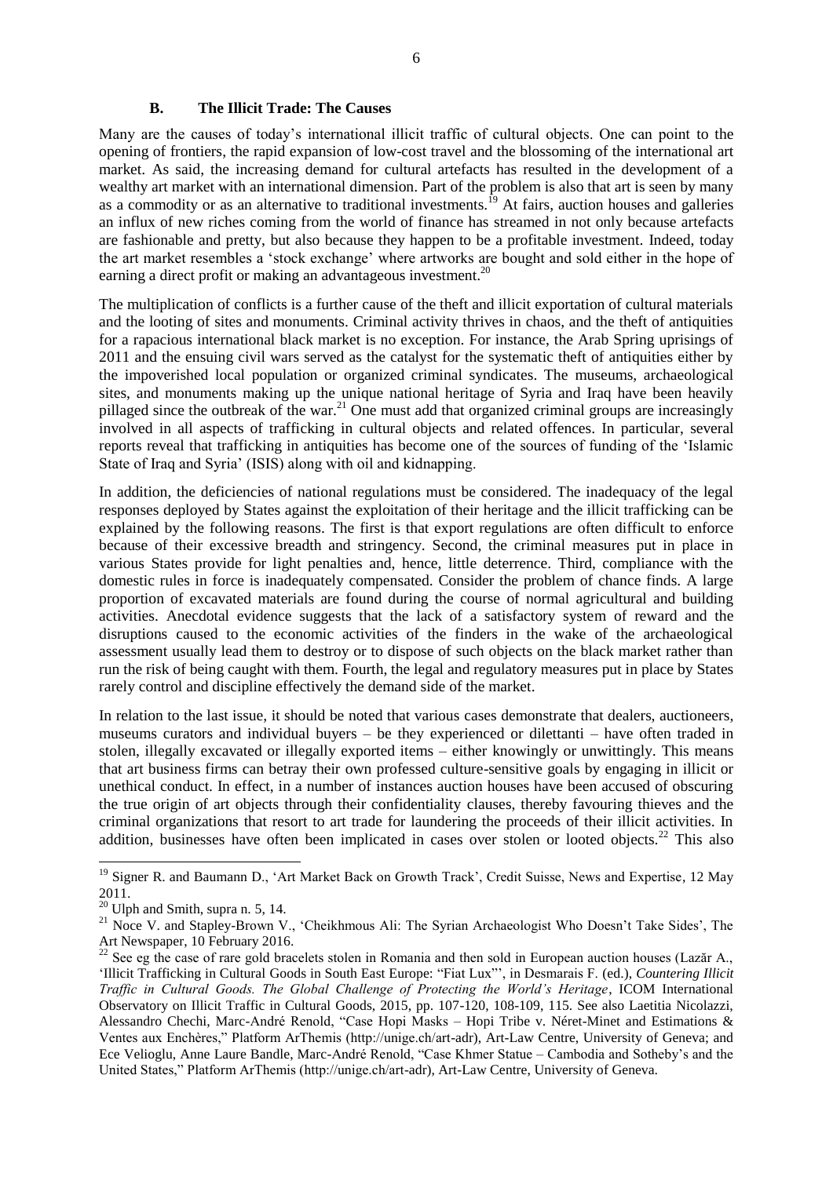#### **B. The Illicit Trade: The Causes**

<span id="page-5-0"></span>Many are the causes of today's international illicit traffic of cultural objects. One can point to the opening of frontiers, the rapid expansion of low-cost travel and the blossoming of the international art market. As said, the increasing demand for cultural artefacts has resulted in the development of a wealthy art market with an international dimension. Part of the problem is also that art is seen by many as a commodity or as an alternative to traditional investments.<sup>19</sup> At fairs, auction houses and galleries an influx of new riches coming from the world of finance has streamed in not only because artefacts are fashionable and pretty, but also because they happen to be a profitable investment. Indeed, today the art market resembles a 'stock exchange' where artworks are bought and sold either in the hope of earning a direct profit or making an advantageous investment.<sup>20</sup>

The multiplication of conflicts is a further cause of the theft and illicit exportation of cultural materials and the looting of sites and monuments. Criminal activity thrives in chaos, and the theft of antiquities for a rapacious international black market is no exception. For instance, the Arab Spring uprisings of 2011 and the ensuing civil wars served as the catalyst for the systematic theft of antiquities either by the impoverished local population or organized criminal syndicates. The museums, archaeological sites, and monuments making up the unique national heritage of Syria and Iraq have been heavily pillaged since the outbreak of the war.<sup>21</sup> One must add that organized criminal groups are increasingly involved in all aspects of trafficking in cultural objects and related offences. In particular, several reports reveal that trafficking in antiquities has become one of the sources of funding of the 'Islamic State of Iraq and Syria' (ISIS) along with oil and kidnapping.

In addition, the deficiencies of national regulations must be considered. The inadequacy of the legal responses deployed by States against the exploitation of their heritage and the illicit trafficking can be explained by the following reasons. The first is that export regulations are often difficult to enforce because of their excessive breadth and stringency. Second, the criminal measures put in place in various States provide for light penalties and, hence, little deterrence. Third, compliance with the domestic rules in force is inadequately compensated. Consider the problem of chance finds. A large proportion of excavated materials are found during the course of normal agricultural and building activities. Anecdotal evidence suggests that the lack of a satisfactory system of reward and the disruptions caused to the economic activities of the finders in the wake of the archaeological assessment usually lead them to destroy or to dispose of such objects on the black market rather than run the risk of being caught with them. Fourth, the legal and regulatory measures put in place by States rarely control and discipline effectively the demand side of the market.

In relation to the last issue, it should be noted that various cases demonstrate that dealers, auctioneers, museums curators and individual buyers – be they experienced or dilettanti – have often traded in stolen, illegally excavated or illegally exported items – either knowingly or unwittingly. This means that art business firms can betray their own professed culture-sensitive goals by engaging in illicit or unethical conduct. In effect, in a number of instances auction houses have been accused of obscuring the true origin of art objects through their confidentiality clauses, thereby favouring thieves and the criminal organizations that resort to art trade for laundering the proceeds of their illicit activities. In addition, businesses have often been implicated in cases over stolen or looted objects.<sup>22</sup> This also

<sup>&</sup>lt;sup>19</sup> Signer R. and Baumann D., 'Art Market Back on Growth Track', Credit Suisse, News and Expertise, 12 May 2011.

 $20$  Ulph and Smith, supra n. [5,](#page-2-1) 14.

<sup>&</sup>lt;sup>21</sup> Noce V. and Stapley-Brown V., 'Cheikhmous Ali: The Syrian Archaeologist Who Doesn't Take Sides', The Art Newspaper, 10 February 2016.

 $^{22}$  See eg the case of rare gold bracelets stolen in Romania and then sold in European auction houses (Lazăr A., 'Illicit Trafficking in Cultural Goods in South East Europe: "Fiat Lux"', in Desmarais F. (ed.), *Countering Illicit Traffic in Cultural Goods. The Global Challenge of Protecting the World's Heritage*, ICOM International Observatory on Illicit Traffic in Cultural Goods, 2015, pp. 107-120, 108-109, 115. See also Laetitia Nicolazzi, Alessandro Chechi, Marc-André Renold, "Case Hopi Masks – Hopi Tribe v. Néret-Minet and Estimations & Ventes aux Enchères," Platform ArThemis (http://unige.ch/art-adr), Art-Law Centre, University of Geneva; and Ece Velioglu, Anne Laure Bandle, Marc-André Renold, "Case Khmer Statue – Cambodia and Sotheby's and the United States," Platform ArThemis (http://unige.ch/art-adr), Art-Law Centre, University of Geneva.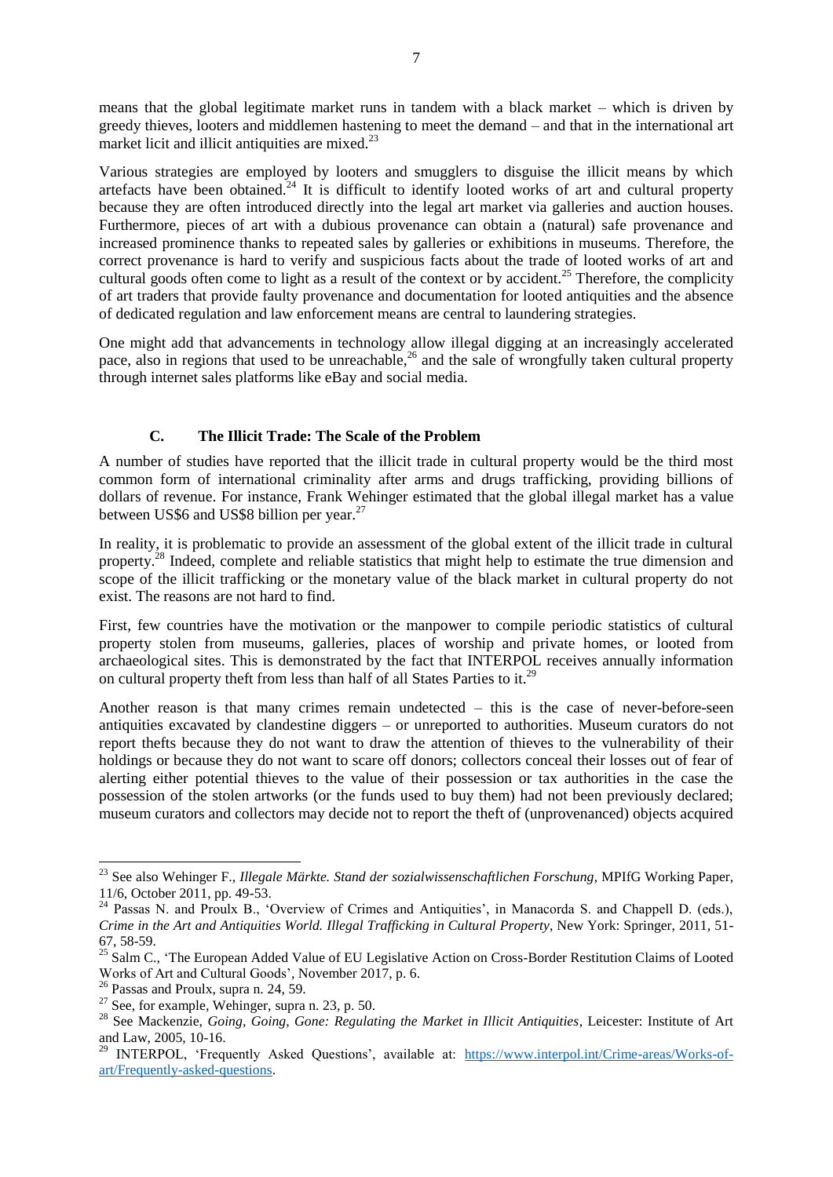means that the global legitimate market runs in tandem with a black market – which is driven by greedy thieves, looters and middlemen hastening to meet the demand – and that in the international art market licit and illicit antiquities are mixed.<sup>23</sup>

<span id="page-6-2"></span><span id="page-6-1"></span>Various strategies are employed by looters and smugglers to disguise the illicit means by which artefacts have been obtained. $^{24}$  It is difficult to identify looted works of art and cultural property because they are often introduced directly into the legal art market via galleries and auction houses. Furthermore, pieces of art with a dubious provenance can obtain a (natural) safe provenance and increased prominence thanks to repeated sales by galleries or exhibitions in museums. Therefore, the correct provenance is hard to verify and suspicious facts about the trade of looted works of art and cultural goods often come to light as a result of the context or by accident.<sup>25</sup> Therefore, the complicity of art traders that provide faulty provenance and documentation for looted antiquities and the absence of dedicated regulation and law enforcement means are central to laundering strategies.

One might add that advancements in technology allow illegal digging at an increasingly accelerated pace, also in regions that used to be unreachable,<sup>26</sup> and the sale of wrongfully taken cultural property through internet sales platforms like eBay and social media.

### **C. The Illicit Trade: The Scale of the Problem**

<span id="page-6-0"></span>A number of studies have reported that the illicit trade in cultural property would be the third most common form of international criminality after arms and drugs trafficking, providing billions of dollars of revenue. For instance, Frank Wehinger estimated that the global illegal market has a value between US\$6 and US\$8 billion per year.<sup>27</sup>

In reality, it is problematic to provide an assessment of the global extent of the illicit trade in cultural property.<sup>28</sup> Indeed, complete and reliable statistics that might help to estimate the true dimension and scope of the illicit trafficking or the monetary value of the black market in cultural property do not exist. The reasons are not hard to find.

First, few countries have the motivation or the manpower to compile periodic statistics of cultural property stolen from museums, galleries, places of worship and private homes, or looted from archaeological sites. This is demonstrated by the fact that INTERPOL receives annually information on cultural property theft from less than half of all States Parties to it.<sup>29</sup>

Another reason is that many crimes remain undetected – this is the case of never-before-seen antiquities excavated by clandestine diggers – or unreported to authorities. Museum curators do not report thefts because they do not want to draw the attention of thieves to the vulnerability of their holdings or because they do not want to scare off donors; collectors conceal their losses out of fear of alerting either potential thieves to the value of their possession or tax authorities in the case the possession of the stolen artworks (or the funds used to buy them) had not been previously declared; museum curators and collectors may decide not to report the theft of (unprovenanced) objects acquired

<sup>23</sup> See also Wehinger F., *Illegale Märkte. Stand der sozialwissenschaftlichen Forschung*, MPIfG Working Paper, 11/6, October 2011, pp. 49-53.

<sup>&</sup>lt;sup>24</sup> Passas N. and Proulx B., 'Overview of Crimes and Antiquities', in Manacorda S. and Chappell D. (eds.), *Crime in the Art and Antiquities World. Illegal Trafficking in Cultural Property*, New York: Springer, 2011, 51- 67, 58-59.

<sup>&</sup>lt;sup>25</sup> Salm C., 'The European Added Value of EU Legislative Action on Cross-Border Restitution Claims of Looted Works of Art and Cultural Goods', November 2017, p. 6.

 $^{26}$  Passas and Proulx, supra n. [24,](#page-6-1) 59.

 $27$  See, for example, Wehinger, supra n. [23,](#page-6-2) p. 50.

<sup>28</sup> See Mackenzie, *Going, Going, Gone: Regulating the Market in Illicit Antiquities*, Leicester: Institute of Art and Law, 2005, 10-16.

<sup>&</sup>lt;sup>29</sup> INTERPOL, 'Frequently Asked Questions', available at: [https://www.interpol.int/Crime-areas/Works-of](https://www.interpol.int/Crime-areas/Works-of-art/Frequently-asked-questions)[art/Frequently-asked-questions.](https://www.interpol.int/Crime-areas/Works-of-art/Frequently-asked-questions)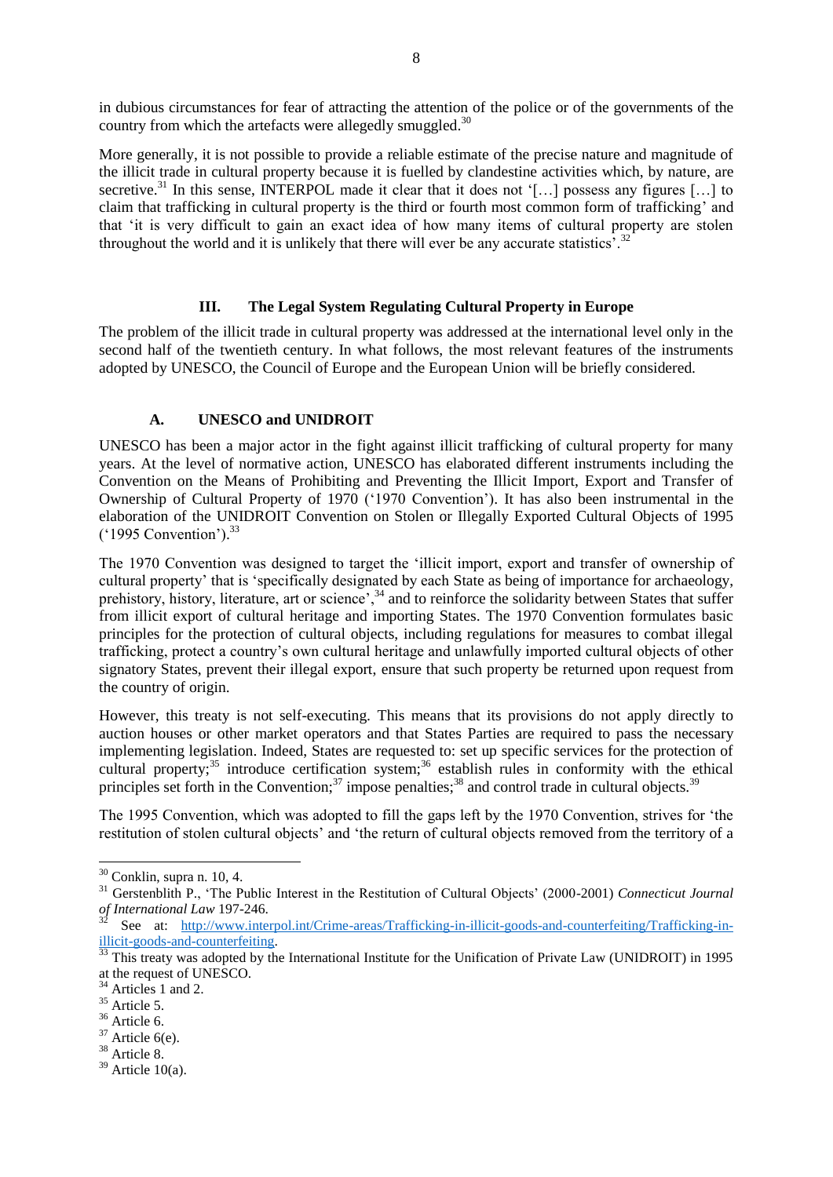in dubious circumstances for fear of attracting the attention of the police or of the governments of the country from which the artefacts were allegedly smuggled.<sup>30</sup>

More generally, it is not possible to provide a reliable estimate of the precise nature and magnitude of the illicit trade in cultural property because it is fuelled by clandestine activities which, by nature, are secretive.<sup>31</sup> In this sense, INTERPOL made it clear that it does not '[...] possess any figures [...] to claim that trafficking in cultural property is the third or fourth most common form of trafficking' and that 'it is very difficult to gain an exact idea of how many items of cultural property are stolen throughout the world and it is unlikely that there will ever be any accurate statistics<sup>5</sup>.<sup>32</sup>

### **III. The Legal System Regulating Cultural Property in Europe**

<span id="page-7-0"></span>The problem of the illicit trade in cultural property was addressed at the international level only in the second half of the twentieth century. In what follows, the most relevant features of the instruments adopted by UNESCO, the Council of Europe and the European Union will be briefly considered.

### **A. UNESCO and UNIDROIT**

<span id="page-7-1"></span>UNESCO has been a major actor in the fight against illicit trafficking of cultural property for many years. At the level of normative action, UNESCO has elaborated different instruments including the Convention on the Means of Prohibiting and Preventing the Illicit Import, Export and Transfer of Ownership of Cultural Property of 1970 ('1970 Convention'). It has also been instrumental in the elaboration of the UNIDROIT Convention on Stolen or Illegally Exported Cultural Objects of 1995 ('1995 Convention'). 33

The 1970 Convention was designed to target the 'illicit import, export and transfer of ownership of cultural property' that is 'specifically designated by each State as being of importance for archaeology, prehistory, history, literature, art or science',<sup>34</sup> and to reinforce the solidarity between States that suffer from illicit export of cultural heritage and importing States. The 1970 Convention formulates basic principles for the protection of cultural objects, including regulations for measures to combat illegal trafficking, protect a country's own cultural heritage and unlawfully imported cultural objects of other signatory States, prevent their illegal export, ensure that such property be returned upon request from the country of origin.

However, this treaty is not self-executing. This means that its provisions do not apply directly to auction houses or other market operators and that States Parties are required to pass the necessary implementing legislation. Indeed, States are requested to: set up specific services for the protection of cultural property;<sup>35</sup> introduce certification system;<sup>36</sup> establish rules in conformity with the ethical principles set forth in the Convention;<sup>37</sup> impose penalties;<sup>38</sup> and control trade in cultural objects.<sup>39</sup>

The 1995 Convention, which was adopted to fill the gaps left by the 1970 Convention, strives for 'the restitution of stolen cultural objects' and 'the return of cultural objects removed from the territory of a

1

 $36 \text{ Article } 6.$ 

 $30$  Conklin, supra n. [10,](#page-3-0) 4.

<sup>31</sup> Gerstenblith P., 'The Public Interest in the Restitution of Cultural Objects' (2000-2001) *Connecticut Journal of International Law* 197-246.

See at: [http://www.interpol.int/Crime-areas/Trafficking-in-illicit-goods-and-counterfeiting/Trafficking-in](http://www.interpol.int/Crime-areas/Trafficking-in-illicit-goods-and-counterfeiting/Trafficking-in-illicit-goods-and-counterfeiting)[illicit-goods-and-counterfeiting.](http://www.interpol.int/Crime-areas/Trafficking-in-illicit-goods-and-counterfeiting/Trafficking-in-illicit-goods-and-counterfeiting) 

 $\frac{33}{33}$  This treaty was adopted by the International Institute for the Unification of Private Law (UNIDROIT) in 1995 at the request of UNESCO.

Articles 1 and 2.

 $35 \text{ Article } 5$ .

 $37$  Article 6(e).

<sup>&</sup>lt;sup>38</sup> Article 8.

 $39$  Article 10(a).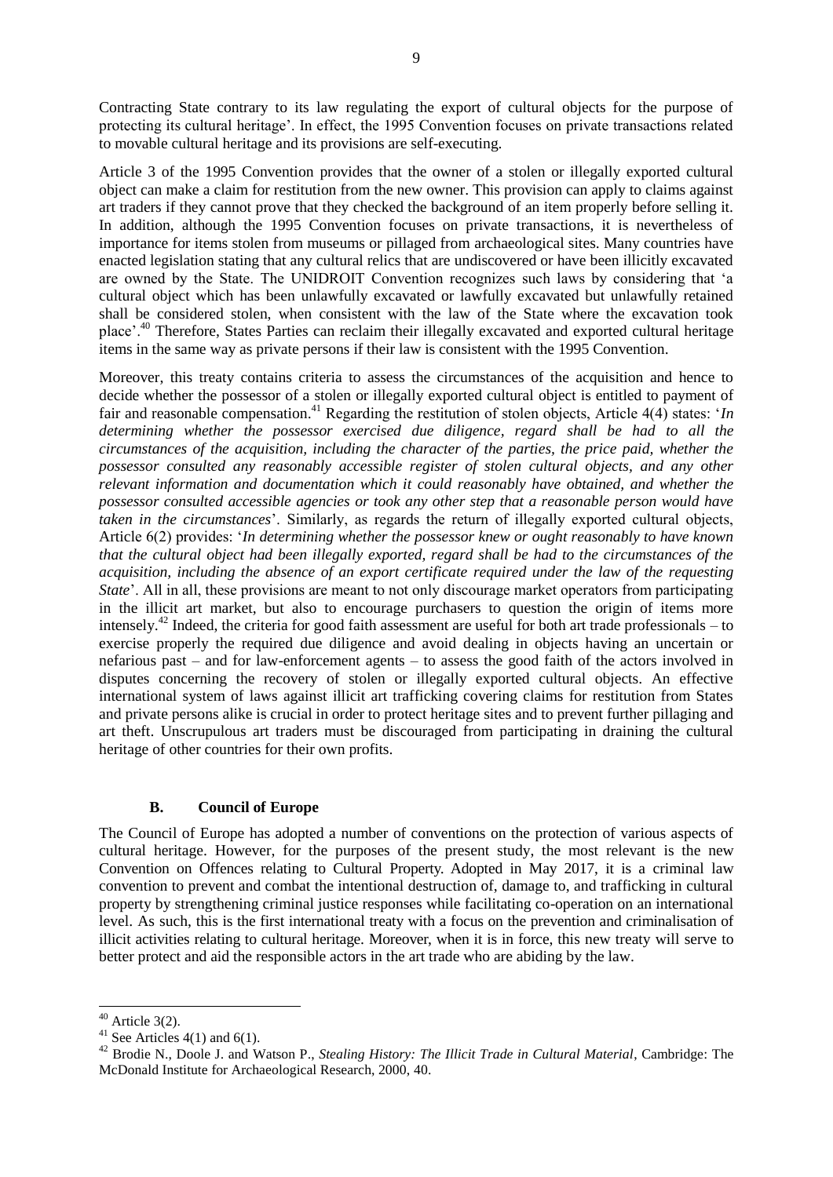Contracting State contrary to its law regulating the export of cultural objects for the purpose of protecting its cultural heritage'. In effect, the 1995 Convention focuses on private transactions related to movable cultural heritage and its provisions are self-executing.

Article 3 of the 1995 Convention provides that the owner of a stolen or illegally exported cultural object can make a claim for restitution from the new owner. This provision can apply to claims against art traders if they cannot prove that they checked the background of an item properly before selling it. In addition, although the 1995 Convention focuses on private transactions, it is nevertheless of importance for items stolen from museums or pillaged from archaeological sites. Many countries have enacted legislation stating that any cultural relics that are undiscovered or have been illicitly excavated are owned by the State. The UNIDROIT Convention recognizes such laws by considering that 'a cultural object which has been unlawfully excavated or lawfully excavated but unlawfully retained shall be considered stolen, when consistent with the law of the State where the excavation took place'.<sup>40</sup> Therefore, States Parties can reclaim their illegally excavated and exported cultural heritage items in the same way as private persons if their law is consistent with the 1995 Convention.

Moreover, this treaty contains criteria to assess the circumstances of the acquisition and hence to decide whether the possessor of a stolen or illegally exported cultural object is entitled to payment of fair and reasonable compensation.<sup>41</sup> Regarding the restitution of stolen objects, Article 4(4) states: '*In determining whether the possessor exercised due diligence, regard shall be had to all the circumstances of the acquisition, including the character of the parties, the price paid, whether the possessor consulted any reasonably accessible register of stolen cultural objects, and any other relevant information and documentation which it could reasonably have obtained, and whether the possessor consulted accessible agencies or took any other step that a reasonable person would have taken in the circumstances*'. Similarly, as regards the return of illegally exported cultural objects, Article 6(2) provides: '*In determining whether the possessor knew or ought reasonably to have known that the cultural object had been illegally exported, regard shall be had to the circumstances of the acquisition, including the absence of an export certificate required under the law of the requesting State*'. All in all, these provisions are meant to not only discourage market operators from participating in the illicit art market, but also to encourage purchasers to question the origin of items more intensely.<sup>42</sup> Indeed, the criteria for good faith assessment are useful for both art trade professionals – to exercise properly the required due diligence and avoid dealing in objects having an uncertain or nefarious past – and for law-enforcement agents – to assess the good faith of the actors involved in disputes concerning the recovery of stolen or illegally exported cultural objects. An effective international system of laws against illicit art trafficking covering claims for restitution from States and private persons alike is crucial in order to protect heritage sites and to prevent further pillaging and art theft. Unscrupulous art traders must be discouraged from participating in draining the cultural heritage of other countries for their own profits.

# **B. Council of Europe**

<span id="page-8-0"></span>The Council of Europe has adopted a number of conventions on the protection of various aspects of cultural heritage. However, for the purposes of the present study, the most relevant is the new Convention on Offences relating to Cultural Property. Adopted in May 2017, it is a criminal law convention to prevent and combat the intentional destruction of, damage to, and trafficking in cultural property by strengthening criminal justice responses while facilitating co-operation on an international level. As such, this is the first international treaty with a focus on the prevention and criminalisation of illicit activities relating to cultural heritage. Moreover, when it is in force, this new treaty will serve to better protect and aid the responsible actors in the art trade who are abiding by the law.

 $40$  Article 3(2).

<sup>&</sup>lt;sup>41</sup> See Articles 4(1) and 6(1).

<sup>&</sup>lt;sup>42</sup> Brodie N., Doole J. and Watson P., *Stealing History: The Illicit Trade in Cultural Material*, Cambridge: The McDonald Institute for Archaeological Research, 2000, 40.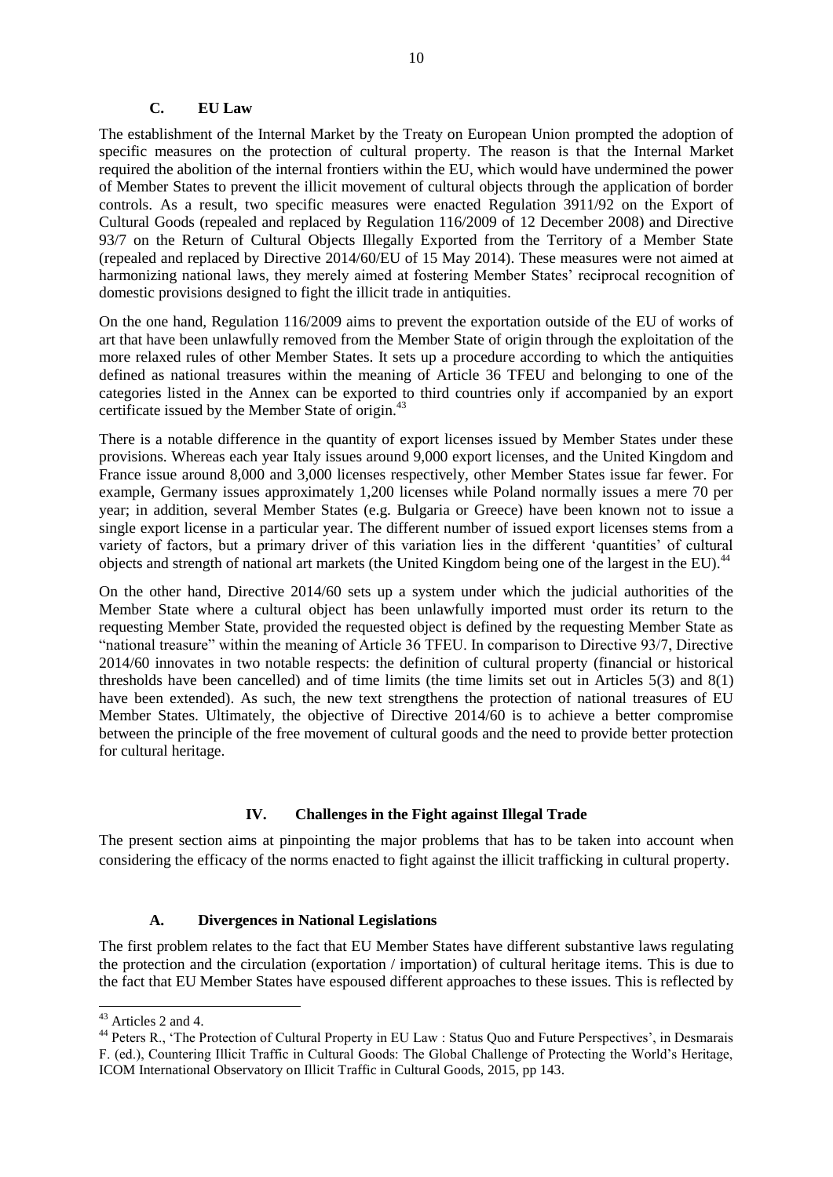### **C. EU Law**

<span id="page-9-0"></span>The establishment of the Internal Market by the Treaty on European Union prompted the adoption of specific measures on the protection of cultural property. The reason is that the Internal Market required the abolition of the internal frontiers within the EU, which would have undermined the power of Member States to prevent the illicit movement of cultural objects through the application of border controls. As a result, two specific measures were enacted Regulation 3911/92 on the Export of Cultural Goods (repealed and replaced by Regulation 116/2009 of 12 December 2008) and Directive 93/7 on the Return of Cultural Objects Illegally Exported from the Territory of a Member State (repealed and replaced by Directive 2014/60/EU of 15 May 2014). These measures were not aimed at harmonizing national laws, they merely aimed at fostering Member States' reciprocal recognition of domestic provisions designed to fight the illicit trade in antiquities.

On the one hand, Regulation 116/2009 aims to prevent the exportation outside of the EU of works of art that have been unlawfully removed from the Member State of origin through the exploitation of the more relaxed rules of other Member States. It sets up a procedure according to which the antiquities defined as national treasures within the meaning of Article 36 TFEU and belonging to one of the categories listed in the Annex can be exported to third countries only if accompanied by an export certificate issued by the Member State of origin.<sup>43</sup>

There is a notable difference in the quantity of export licenses issued by Member States under these provisions. Whereas each year Italy issues around 9,000 export licenses, and the United Kingdom and France issue around 8,000 and 3,000 licenses respectively, other Member States issue far fewer. For example, Germany issues approximately 1,200 licenses while Poland normally issues a mere 70 per year; in addition, several Member States (e.g. Bulgaria or Greece) have been known not to issue a single export license in a particular year. The different number of issued export licenses stems from a variety of factors, but a primary driver of this variation lies in the different 'quantities' of cultural objects and strength of national art markets (the United Kingdom being one of the largest in the EU).<sup>44</sup>

On the other hand, Directive 2014/60 sets up a system under which the judicial authorities of the Member State where a cultural object has been unlawfully imported must order its return to the requesting Member State, provided the requested object is defined by the requesting Member State as "national treasure" within the meaning of Article 36 TFEU. In comparison to Directive 93/7, Directive 2014/60 innovates in two notable respects: the definition of cultural property (financial or historical thresholds have been cancelled) and of time limits (the time limits set out in Articles 5(3) and 8(1) have been extended). As such, the new text strengthens the protection of national treasures of EU Member States. Ultimately, the objective of Directive 2014/60 is to achieve a better compromise between the principle of the free movement of cultural goods and the need to provide better protection for cultural heritage.

# <span id="page-9-3"></span>**IV. Challenges in the Fight against Illegal Trade**

<span id="page-9-1"></span>The present section aims at pinpointing the major problems that has to be taken into account when considering the efficacy of the norms enacted to fight against the illicit trafficking in cultural property.

# **A. Divergences in National Legislations**

<span id="page-9-2"></span>The first problem relates to the fact that EU Member States have different substantive laws regulating the protection and the circulation (exportation / importation) of cultural heritage items. This is due to the fact that EU Member States have espoused different approaches to these issues. This is reflected by

<sup>-</sup><sup>43</sup> Articles 2 and 4.

<sup>&</sup>lt;sup>44</sup> Peters R., 'The Protection of Cultural Property in EU Law : Status Quo and Future Perspectives', in Desmarais F. (ed.), Countering Illicit Traffic in Cultural Goods: The Global Challenge of Protecting the World's Heritage, ICOM International Observatory on Illicit Traffic in Cultural Goods, 2015, pp 143.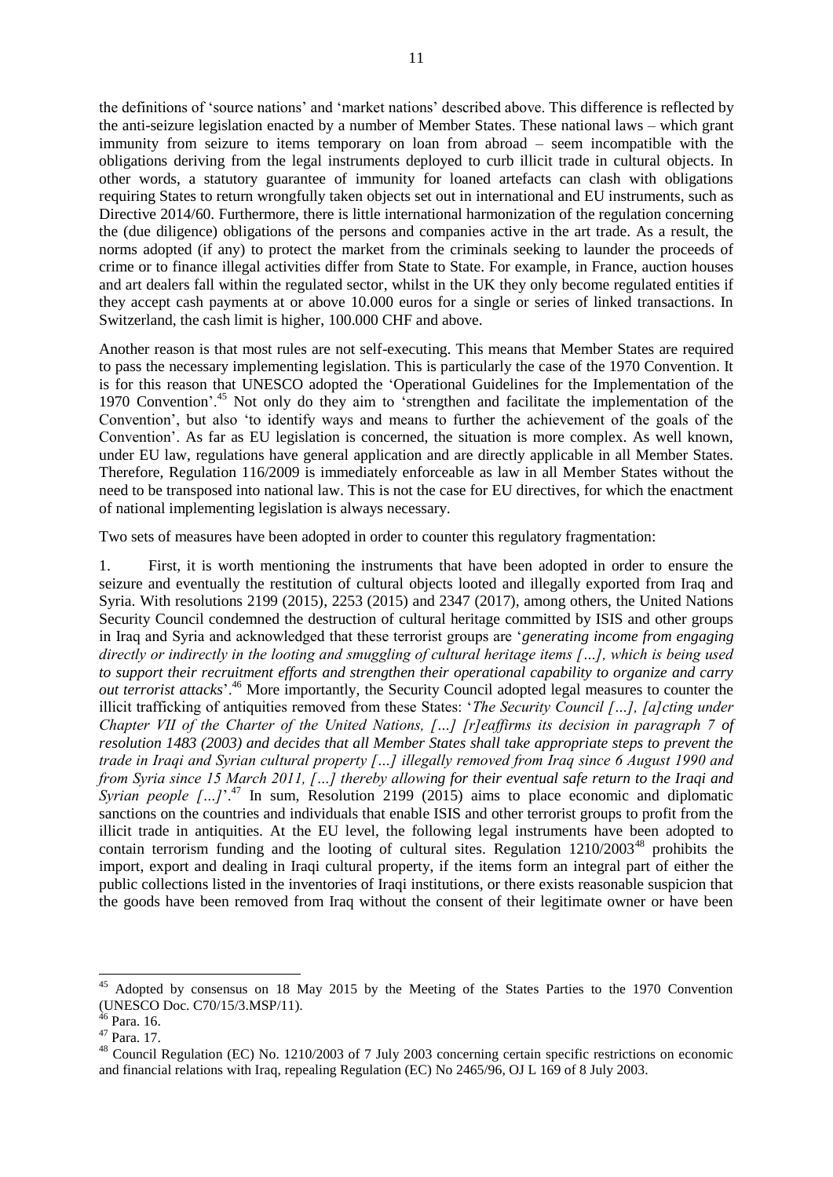the definitions of 'source nations' and 'market nations' described above. This difference is reflected by the anti-seizure legislation enacted by a number of Member States. These national laws – which grant immunity from seizure to items temporary on loan from abroad – seem incompatible with the obligations deriving from the legal instruments deployed to curb illicit trade in cultural objects. In other words, a statutory guarantee of immunity for loaned artefacts can clash with obligations requiring States to return wrongfully taken objects set out in international and EU instruments, such as Directive 2014/60. Furthermore, there is little international harmonization of the regulation concerning the (due diligence) obligations of the persons and companies active in the art trade. As a result, the norms adopted (if any) to protect the market from the criminals seeking to launder the proceeds of crime or to finance illegal activities differ from State to State. For example, in France, auction houses and art dealers fall within the regulated sector, whilst in the UK they only become regulated entities if they accept cash payments at or above 10.000 euros for a single or series of linked transactions. In Switzerland, the cash limit is higher, 100.000 CHF and above.

Another reason is that most rules are not self-executing. This means that Member States are required to pass the necessary implementing legislation. This is particularly the case of the 1970 Convention. It is for this reason that UNESCO adopted the 'Operational Guidelines for the Implementation of the 1970 Convention'.<sup>45</sup> Not only do they aim to 'strengthen and facilitate the implementation of the Convention', but also 'to identify ways and means to further the achievement of the goals of the Convention'. As far as EU legislation is concerned, the situation is more complex. As well known, under EU law, regulations have general application and are directly applicable in all Member States. Therefore, Regulation 116/2009 is immediately enforceable as law in all Member States without the need to be transposed into national law. This is not the case for EU directives, for which the enactment of national implementing legislation is always necessary.

Two sets of measures have been adopted in order to counter this regulatory fragmentation:

1. First, it is worth mentioning the instruments that have been adopted in order to ensure the seizure and eventually the restitution of cultural objects looted and illegally exported from Iraq and Syria. With resolutions 2199 (2015), 2253 (2015) and 2347 (2017), among others, the United Nations Security Council condemned the destruction of cultural heritage committed by ISIS and other groups in Iraq and Syria and acknowledged that these terrorist groups are '*generating income from engaging directly or indirectly in the looting and smuggling of cultural heritage items […], which is being used to support their recruitment efforts and strengthen their operational capability to organize and carry out terrorist attacks*<sup>, 46</sup> More importantly, the Security Council adopted legal measures to counter the illicit trafficking of antiquities removed from these States: '*The Security Council […], [a]cting under Chapter VII of the Charter of the United Nations, […] [r]eaffirms its decision in paragraph 7 of resolution 1483 (2003) and decides that all Member States shall take appropriate steps to prevent the trade in Iraqi and Syrian cultural property […] illegally removed from Iraq since 6 August 1990 and from Syria since 15 March 2011, […] thereby allowing for their eventual safe return to the Iraqi and Syrian people*  $\left[ \ldots \right]$ <sup>'47</sup> In sum, Resolution 2199 (2015) aims to place economic and diplomatic sanctions on the countries and individuals that enable ISIS and other terrorist groups to profit from the illicit trade in antiquities. At the EU level, the following legal instruments have been adopted to contain terrorism funding and the looting of cultural sites. Regulation  $1210/2003^{48}$  prohibits the import, export and dealing in Iraqi cultural property, if the items form an integral part of either the public collections listed in the inventories of Iraqi institutions, or there exists reasonable suspicion that the goods have been removed from Iraq without the consent of their legitimate owner or have been

<sup>45</sup> Adopted by consensus on 18 May 2015 by the Meeting of the States Parties to the 1970 Convention (UNESCO Doc. C70/15/3.MSP/11).

<sup>&</sup>lt;sup>46</sup> Para, 16.

<sup>47</sup> Para. 17.

<sup>48</sup> Council Regulation (EC) No. 1210/2003 of 7 July 2003 concerning certain specific restrictions on economic and financial relations with Iraq, repealing Regulation (EC) No 2465/96, OJ L 169 of 8 July 2003.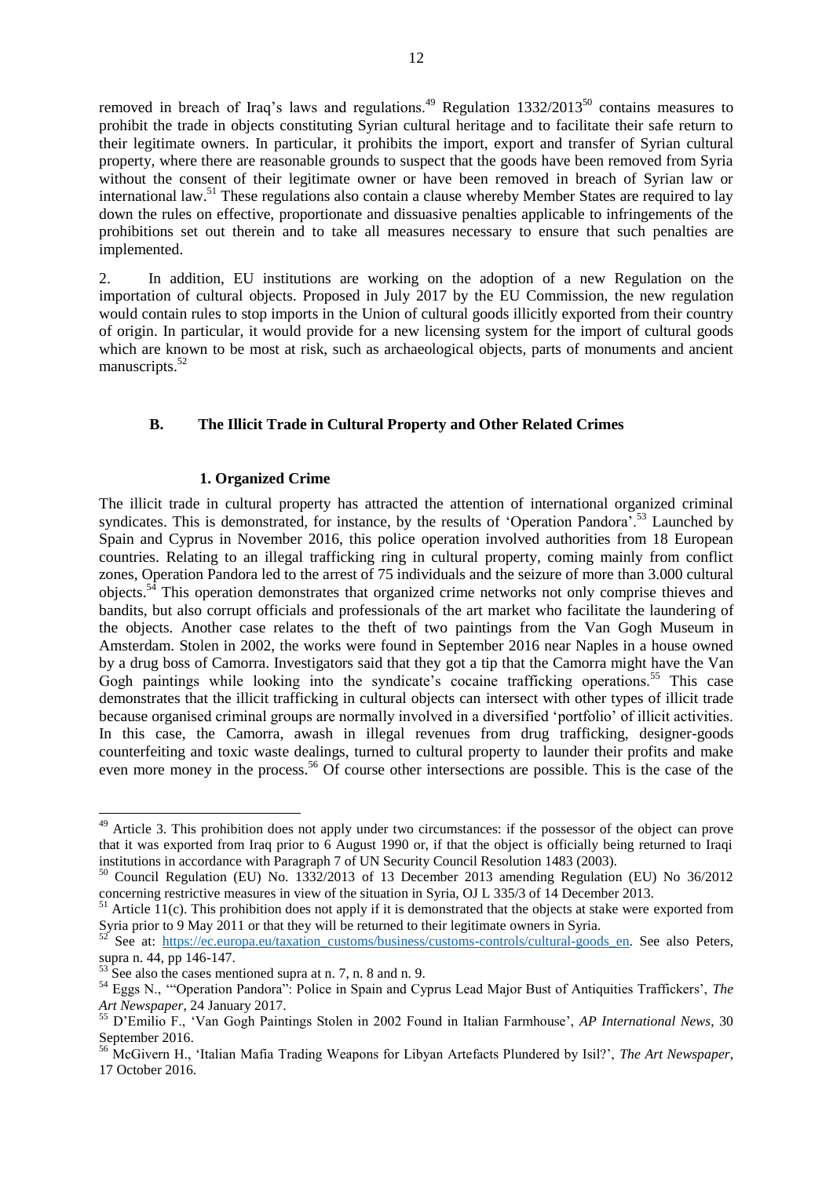removed in breach of Iraq's laws and regulations.<sup>49</sup> Regulation 1332/2013<sup>50</sup> contains measures to prohibit the trade in objects constituting Syrian cultural heritage and to facilitate their safe return to their legitimate owners. In particular, it prohibits the import, export and transfer of Syrian cultural property, where there are reasonable grounds to suspect that the goods have been removed from Syria without the consent of their legitimate owner or have been removed in breach of Syrian law or international law.<sup>51</sup> These regulations also contain a clause whereby Member States are required to lay down the rules on effective, proportionate and dissuasive penalties applicable to infringements of the prohibitions set out therein and to take all measures necessary to ensure that such penalties are implemented.

2. In addition, EU institutions are working on the adoption of a new Regulation on the importation of cultural objects. Proposed in July 2017 by the EU Commission, the new regulation would contain rules to stop imports in the Union of cultural goods illicitly exported from their country of origin. In particular, it would provide for a new licensing system for the import of cultural goods which are known to be most at risk, such as archaeological objects, parts of monuments and ancient manuscripts.<sup>52</sup>

### <span id="page-11-0"></span>**B. The Illicit Trade in Cultural Property and Other Related Crimes**

#### **1. Organized Crime**

<span id="page-11-1"></span>The illicit trade in cultural property has attracted the attention of international organized criminal syndicates. This is demonstrated, for instance, by the results of 'Operation Pandora'.<sup>53</sup> Launched by Spain and Cyprus in November 2016, this police operation involved authorities from 18 European countries. Relating to an illegal trafficking ring in cultural property, coming mainly from conflict zones, Operation Pandora led to the arrest of 75 individuals and the seizure of more than 3.000 cultural objects.<sup>54</sup> This operation demonstrates that organized crime networks not only comprise thieves and bandits, but also corrupt officials and professionals of the art market who facilitate the laundering of the objects. Another case relates to the theft of two paintings from the Van Gogh Museum in Amsterdam. Stolen in 2002, the works were found in September 2016 near Naples in a house owned by a drug boss of Camorra. Investigators said that they got a tip that the Camorra might have the Van Gogh paintings while looking into the syndicate's cocaine trafficking operations.<sup>55</sup> This case demonstrates that the illicit trafficking in cultural objects can intersect with other types of illicit trade because organised criminal groups are normally involved in a diversified 'portfolio' of illicit activities. In this case, the Camorra, awash in illegal revenues from drug trafficking, designer-goods counterfeiting and toxic waste dealings, turned to cultural property to launder their profits and make even more money in the process.<sup>56</sup> Of course other intersections are possible. This is the case of the

<sup>&</sup>lt;sup>49</sup> Article 3. This prohibition does not apply under two circumstances: if the possessor of the object can prove that it was exported from Iraq prior to 6 August 1990 or, if that the object is officially being returned to Iraqi institutions in accordance with Paragraph 7 of UN Security Council Resolution 1483 (2003).

<sup>50</sup> Council Regulation (EU) No. 1332/2013 of 13 December 2013 amending Regulation (EU) No 36/2012 concerning restrictive measures in view of the situation in Syria, OJ L 335/3 of 14 December 2013.

 $51$  Article 11(c). This prohibition does not apply if it is demonstrated that the objects at stake were exported from Syria prior to 9 May 2011 or that they will be returned to their legitimate owners in Syria.

See at: https://ec.europa.eu/taxation\_customs/business/customs-controls/cultural-goods en. See also Peters, supra n. [44,](#page-9-3) pp 146-147.

 $5\frac{1}{3}$  See also the cases mentioned supra at n. [7,](#page-2-2) n. [8](#page-2-3) and n[. 9.](#page-3-1)

<sup>54</sup> Eggs N., '"Operation Pandora": Police in Spain and Cyprus Lead Major Bust of Antiquities Traffickers', *The Art Newspaper*, 24 January 2017.

<sup>55</sup> D'Emilio F., 'Van Gogh Paintings Stolen in 2002 Found in Italian Farmhouse', *AP International News*, 30 September 2016.

<sup>56</sup> McGivern H., 'Italian Mafia Trading Weapons for Libyan Artefacts Plundered by Isil?', *The Art Newspaper*, 17 October 2016.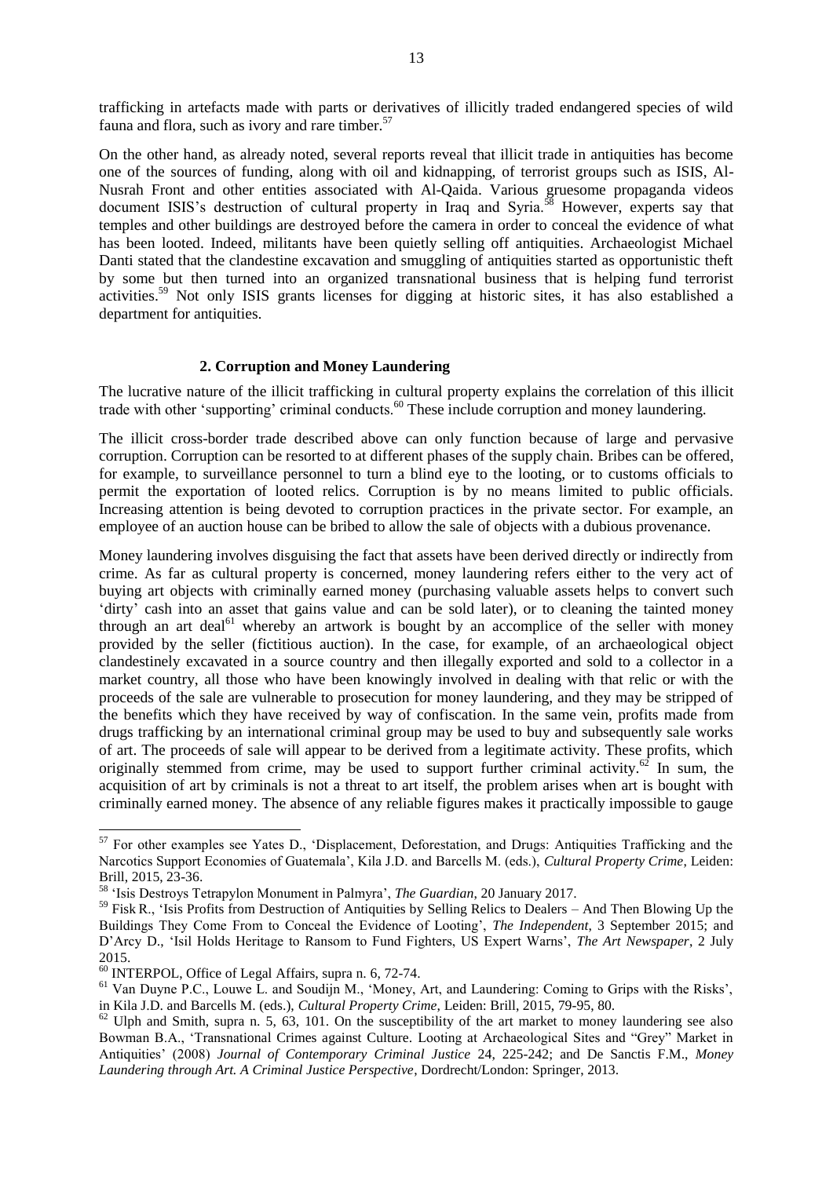trafficking in artefacts made with parts or derivatives of illicitly traded endangered species of wild fauna and flora, such as ivory and rare timber. $57$ 

On the other hand, as already noted, several reports reveal that illicit trade in antiquities has become one of the sources of funding, along with oil and kidnapping, of terrorist groups such as ISIS, Al-Nusrah Front and other entities associated with Al-Qaida. Various gruesome propaganda videos document ISIS's destruction of cultural property in Iraq and Syria.<sup>58</sup> However, experts say that temples and other buildings are destroyed before the camera in order to conceal the evidence of what has been looted. Indeed, militants have been quietly selling off antiquities. Archaeologist Michael Danti stated that the clandestine excavation and smuggling of antiquities started as opportunistic theft by some but then turned into an organized transnational business that is helping fund terrorist activities.<sup>59</sup> Not only ISIS grants licenses for digging at historic sites, it has also established a department for antiquities.

#### **2. Corruption and Money Laundering**

<span id="page-12-0"></span>The lucrative nature of the illicit trafficking in cultural property explains the correlation of this illicit trade with other 'supporting' criminal conducts.<sup>60</sup> These include corruption and money laundering.

The illicit cross-border trade described above can only function because of large and pervasive corruption. Corruption can be resorted to at different phases of the supply chain. Bribes can be offered, for example, to surveillance personnel to turn a blind eye to the looting, or to customs officials to permit the exportation of looted relics. Corruption is by no means limited to public officials. Increasing attention is being devoted to corruption practices in the private sector. For example, an employee of an auction house can be bribed to allow the sale of objects with a dubious provenance.

Money laundering involves disguising the fact that assets have been derived directly or indirectly from crime. As far as cultural property is concerned, money laundering refers either to the very act of buying art objects with criminally earned money (purchasing valuable assets helps to convert such 'dirty' cash into an asset that gains value and can be sold later), or to cleaning the tainted money through an art deal<sup>61</sup> whereby an artwork is bought by an accomplice of the seller with money provided by the seller (fictitious auction). In the case, for example, of an archaeological object clandestinely excavated in a source country and then illegally exported and sold to a collector in a market country, all those who have been knowingly involved in dealing with that relic or with the proceeds of the sale are vulnerable to prosecution for money laundering, and they may be stripped of the benefits which they have received by way of confiscation. In the same vein, profits made from drugs trafficking by an international criminal group may be used to buy and subsequently sale works of art. The proceeds of sale will appear to be derived from a legitimate activity. These profits, which originally stemmed from crime, may be used to support further criminal activity.<sup>62</sup> In sum, the acquisition of art by criminals is not a threat to art itself, the problem arises when art is bought with criminally earned money. The absence of any reliable figures makes it practically impossible to gauge

<sup>&</sup>lt;sup>57</sup> For other examples see Yates D., 'Displacement, Deforestation, and Drugs: Antiquities Trafficking and the Narcotics Support Economies of Guatemala', Kila J.D. and Barcells M. (eds.), *Cultural Property Crime*, Leiden: Brill, 2015, 23-36.

<sup>58</sup> 'Isis Destroys Tetrapylon Monument in Palmyra', *The Guardian*, 20 January 2017.

<sup>&</sup>lt;sup>59</sup> Fisk R., 'Isis Profits from Destruction of Antiquities by Selling Relics to Dealers – And Then Blowing Up the Buildings They Come From to Conceal the Evidence of Looting', *The Independent*, 3 September 2015; and D'Arcy D., 'Isil Holds Heritage to Ransom to Fund Fighters, US Expert Warns', *The Art Newspaper*, 2 July 2015.

 $\frac{60}{60}$  INTERPOL, Office of Legal Affairs, supra n. [6,](#page-2-4) 72-74.

<sup>&</sup>lt;sup>61</sup> Van Duyne P.C., Louwe L. and Soudijn M., 'Money, Art, and Laundering: Coming to Grips with the Risks', in Kila J.D. and Barcells M. (eds.), *Cultural Property Crime*, Leiden: Brill, 2015, 79-95, 80.

 $62$  Ulph and Smith, supra n. [5,](#page-2-1) 63, 101. On the susceptibility of the art market to money laundering see also Bowman B.A., 'Transnational Crimes against Culture. Looting at Archaeological Sites and "Grey" Market in Antiquities' (2008) *Journal of Contemporary Criminal Justice* 24, 225-242; and De Sanctis F.M., *Money Laundering through Art. A Criminal Justice Perspective*, Dordrecht/London: Springer, 2013.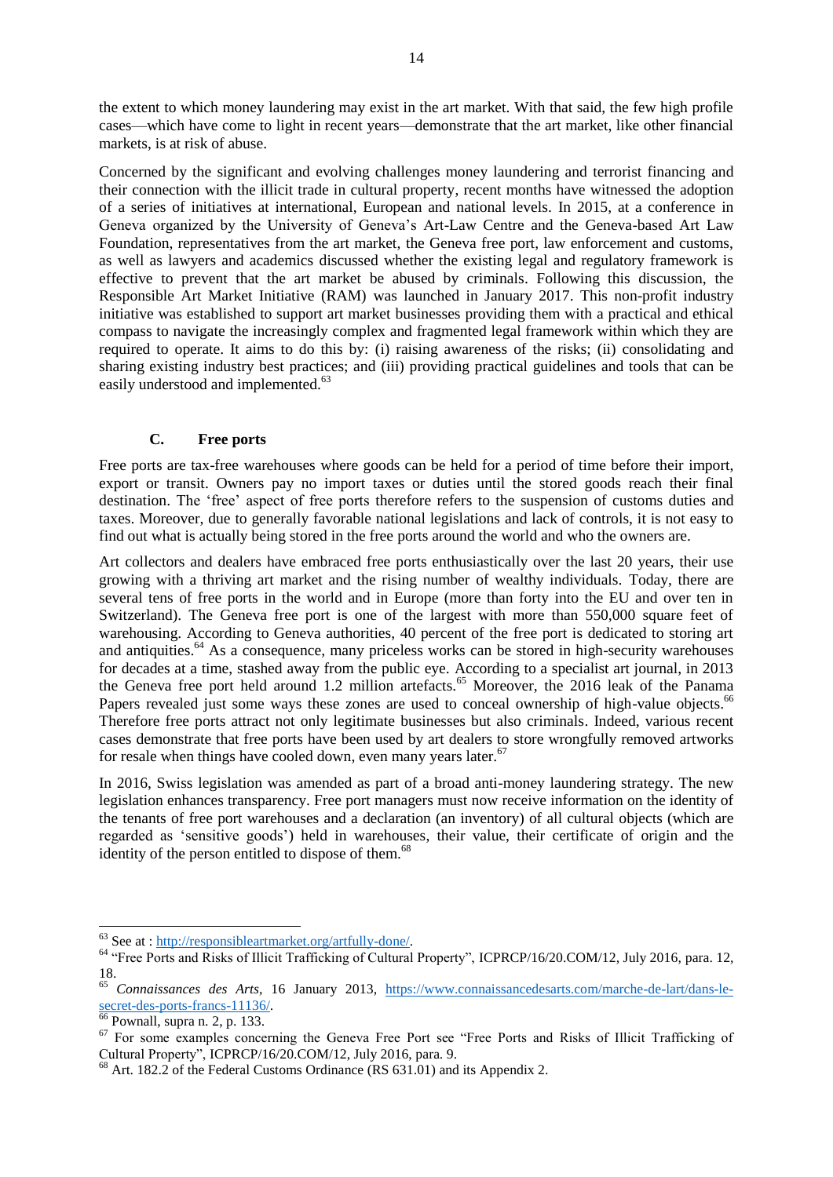the extent to which money laundering may exist in the art market. With that said, the few high profile cases—which have come to light in recent years—demonstrate that the art market, like other financial markets, is at risk of abuse.

Concerned by the significant and evolving challenges money laundering and terrorist financing and their connection with the illicit trade in cultural property, recent months have witnessed the adoption of a series of initiatives at international, European and national levels. In 2015, at a conference in Geneva organized by the University of Geneva's Art-Law Centre and the Geneva-based Art Law Foundation, representatives from the art market, the Geneva free port, law enforcement and customs, as well as lawyers and academics discussed whether the existing legal and regulatory framework is effective to prevent that the art market be abused by criminals. Following this discussion, the Responsible Art Market Initiative (RAM) was launched in January 2017. This non-profit industry initiative was established to support art market businesses providing them with a practical and ethical compass to navigate the increasingly complex and fragmented legal framework within which they are required to operate. It aims to do this by: (i) raising awareness of the risks; (ii) consolidating and sharing existing industry best practices; and (iii) providing practical guidelines and tools that can be easily understood and implemented.<sup>63</sup>

# **C. Free ports**

<span id="page-13-0"></span>Free ports are tax-free warehouses where goods can be held for a period of time before their import, export or transit. Owners pay no import taxes or duties until the stored goods reach their final destination. The 'free' aspect of free ports therefore refers to the suspension of customs duties and taxes. Moreover, due to generally favorable national legislations and lack of controls, it is not easy to find out what is actually being stored in the free ports around the world and who the owners are.

Art collectors and dealers have embraced free ports enthusiastically over the last 20 years, their use growing with a thriving art market and the rising number of wealthy individuals. Today, there are several tens of free ports in the world and in Europe (more than forty into the EU and over ten in Switzerland). The Geneva free port is one of the largest with more than 550,000 square feet of warehousing. According to Geneva authorities, 40 percent of the free port is dedicated to storing art and antiquities.<sup>64</sup> As a consequence, many priceless works can be stored in high-security warehouses for decades at a time, stashed away from the public eye. According to a specialist art journal, in 2013 the Geneva free port held around 1.2 million artefacts.<sup>65</sup> Moreover, the 2016 leak of the Panama Papers revealed just some ways these zones are used to conceal ownership of high-value objects.<sup>66</sup> Therefore free ports attract not only legitimate businesses but also criminals. Indeed, various recent cases demonstrate that free ports have been used by art dealers to store wrongfully removed artworks for resale when things have cooled down, even many years later. $67$ 

In 2016, Swiss legislation was amended as part of a broad anti-money laundering strategy. The new legislation enhances transparency. Free port managers must now receive information on the identity of the tenants of free port warehouses and a declaration (an inventory) of all cultural objects (which are regarded as 'sensitive goods') held in warehouses, their value, their certificate of origin and the identity of the person entitled to dispose of them.<sup>68</sup>

<sup>&</sup>lt;sup>63</sup> See at : [http://responsibleartmarket.org/artfully-done/.](http://responsibleartmarket.org/artfully-done/)

<sup>&</sup>lt;sup>64</sup> "Free Ports and Risks of Illicit Trafficking of Cultural Property", ICPRCP/16/20.COM/12, July 2016, para. 12, 18.

<sup>65</sup> *Connaissances des Arts*, 16 January 2013, [https://www.connaissancedesarts.com/marche-de-lart/dans-le](https://www.connaissancedesarts.com/marche-de-lart/dans-le-secret-des-ports-francs-11136/)[secret-des-ports-francs-11136/.](https://www.connaissancedesarts.com/marche-de-lart/dans-le-secret-des-ports-francs-11136/)

 $66$  Pownall, supra n. [2,](#page-1-1) p. 133.

<sup>&</sup>lt;sup>67</sup> For some examples concerning the Geneva Free Port see "Free Ports and Risks of Illicit Trafficking of Cultural Property", ICPRCP/16/20.COM/12, July 2016, para. 9.

 $68$  Art. 182.2 of the Federal Customs Ordinance (RS  $631.01$ ) and its Appendix 2.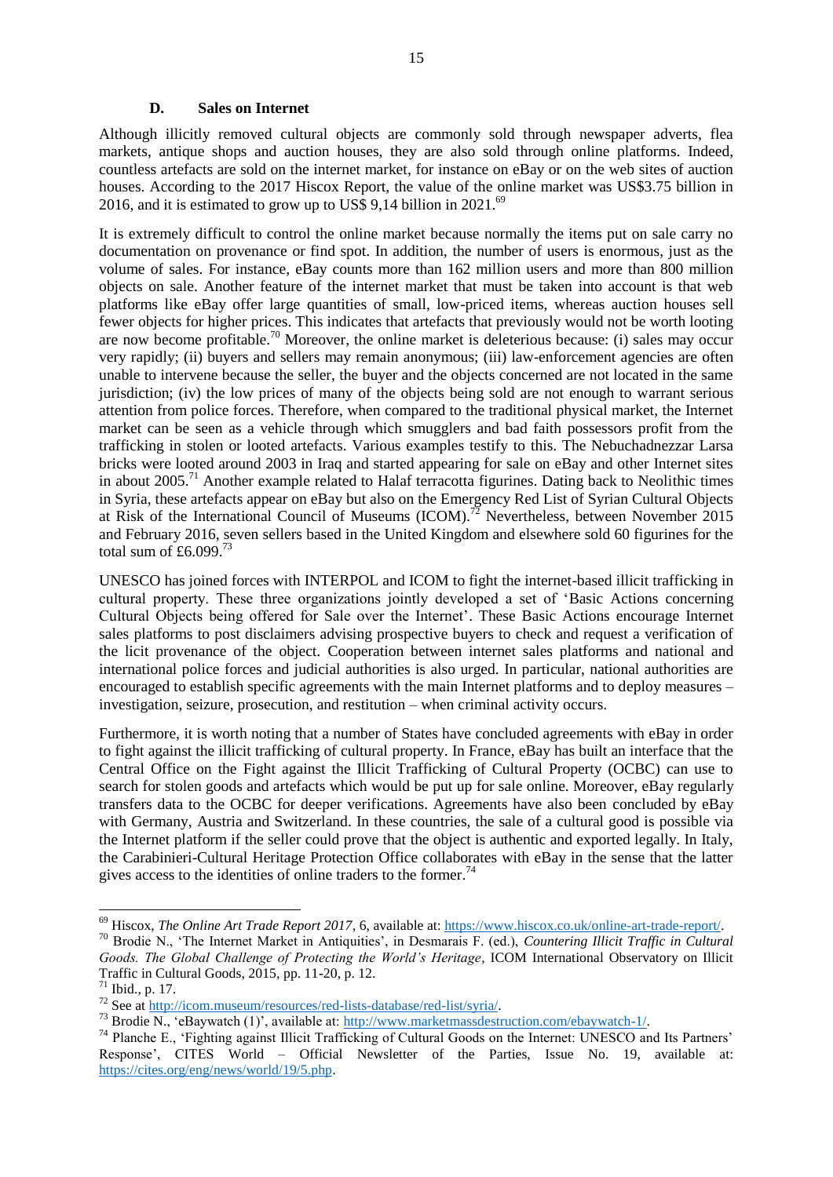#### **D. Sales on Internet**

<span id="page-14-0"></span>Although illicitly removed cultural objects are commonly sold through newspaper adverts, flea markets, antique shops and auction houses, they are also sold through online platforms. Indeed, countless artefacts are sold on the internet market, for instance on eBay or on the web sites of auction houses. According to the 2017 Hiscox Report, the value of the online market was US\$3.75 billion in 2016, and it is estimated to grow up to US\$ 9,14 billion in  $2021.^{69}$ 

<span id="page-14-1"></span>It is extremely difficult to control the online market because normally the items put on sale carry no documentation on provenance or find spot. In addition, the number of users is enormous, just as the volume of sales. For instance, eBay counts more than 162 million users and more than 800 million objects on sale. Another feature of the internet market that must be taken into account is that web platforms like eBay offer large quantities of small, low-priced items, whereas auction houses sell fewer objects for higher prices. This indicates that artefacts that previously would not be worth looting are now become profitable.<sup>70</sup> Moreover, the online market is deleterious because: (i) sales may occur very rapidly; (ii) buyers and sellers may remain anonymous; (iii) law-enforcement agencies are often unable to intervene because the seller, the buyer and the objects concerned are not located in the same jurisdiction; (iv) the low prices of many of the objects being sold are not enough to warrant serious attention from police forces. Therefore, when compared to the traditional physical market, the Internet market can be seen as a vehicle through which smugglers and bad faith possessors profit from the trafficking in stolen or looted artefacts. Various examples testify to this. The Nebuchadnezzar Larsa bricks were looted around 2003 in Iraq and started appearing for sale on eBay and other Internet sites in about 2005.<sup>71</sup> Another example related to Halaf terracotta figurines. Dating back to Neolithic times in Syria, these artefacts appear on eBay but also on the Emergency Red List of Syrian Cultural Objects at Risk of the International Council of Museums (ICOM).<sup>72</sup> Nevertheless, between November 2015 and February 2016, seven sellers based in the United Kingdom and elsewhere sold 60 figurines for the total sum of £6.099. $^{73}$ 

UNESCO has joined forces with INTERPOL and ICOM to fight the internet-based illicit trafficking in cultural property. These three organizations jointly developed a set of 'Basic Actions concerning Cultural Objects being offered for Sale over the Internet'. These Basic Actions encourage Internet sales platforms to post disclaimers advising prospective buyers to check and request a verification of the licit provenance of the object. Cooperation between internet sales platforms and national and international police forces and judicial authorities is also urged. In particular, national authorities are encouraged to establish specific agreements with the main Internet platforms and to deploy measures – investigation, seizure, prosecution, and restitution – when criminal activity occurs.

Furthermore, it is worth noting that a number of States have concluded agreements with eBay in order to fight against the illicit trafficking of cultural property. In France, eBay has built an interface that the Central Office on the Fight against the Illicit Trafficking of Cultural Property (OCBC) can use to search for stolen goods and artefacts which would be put up for sale online. Moreover, eBay regularly transfers data to the OCBC for deeper verifications. Agreements have also been concluded by eBay with Germany, Austria and Switzerland. In these countries, the sale of a cultural good is possible via the Internet platform if the seller could prove that the object is authentic and exported legally. In Italy, the Carabinieri-Cultural Heritage Protection Office collaborates with eBay in the sense that the latter gives access to the identities of online traders to the former.<sup>74</sup>

<sup>69</sup> Hiscox, *The Online Art Trade Report 2017*, 6, available at: [https://www.hiscox.co.uk/online-art-trade-report/.](https://www.hiscox.co.uk/online-art-trade-report/) 

<sup>70</sup> Brodie N., 'The Internet Market in Antiquities', in Desmarais F. (ed.), *Countering Illicit Traffic in Cultural Goods. The Global Challenge of Protecting the World's Heritage*, ICOM International Observatory on Illicit Traffic in Cultural Goods, 2015, pp. 11-20, p. 12.

<sup>71</sup> Ibid., p. 17.

 $72$  See at [http://icom.museum/resources/red-lists-database/red-list/syria/.](http://icom.museum/resources/red-lists-database/red-list/syria/)

<sup>&</sup>lt;sup>73</sup> Brodie N., 'eBaywatch (1)', available at: [http://www.marketmassdestruction.com/ebaywatch-1/.](http://www.marketmassdestruction.com/ebaywatch-1/)

<sup>74</sup> Planche E., 'Fighting against Illicit Trafficking of Cultural Goods on the Internet: UNESCO and Its Partners' Response', CITES World – Official Newsletter of the Parties, Issue No. 19, available at: [https://cites.org/eng/news/world/19/5.php.](https://cites.org/eng/news/world/19/5.php)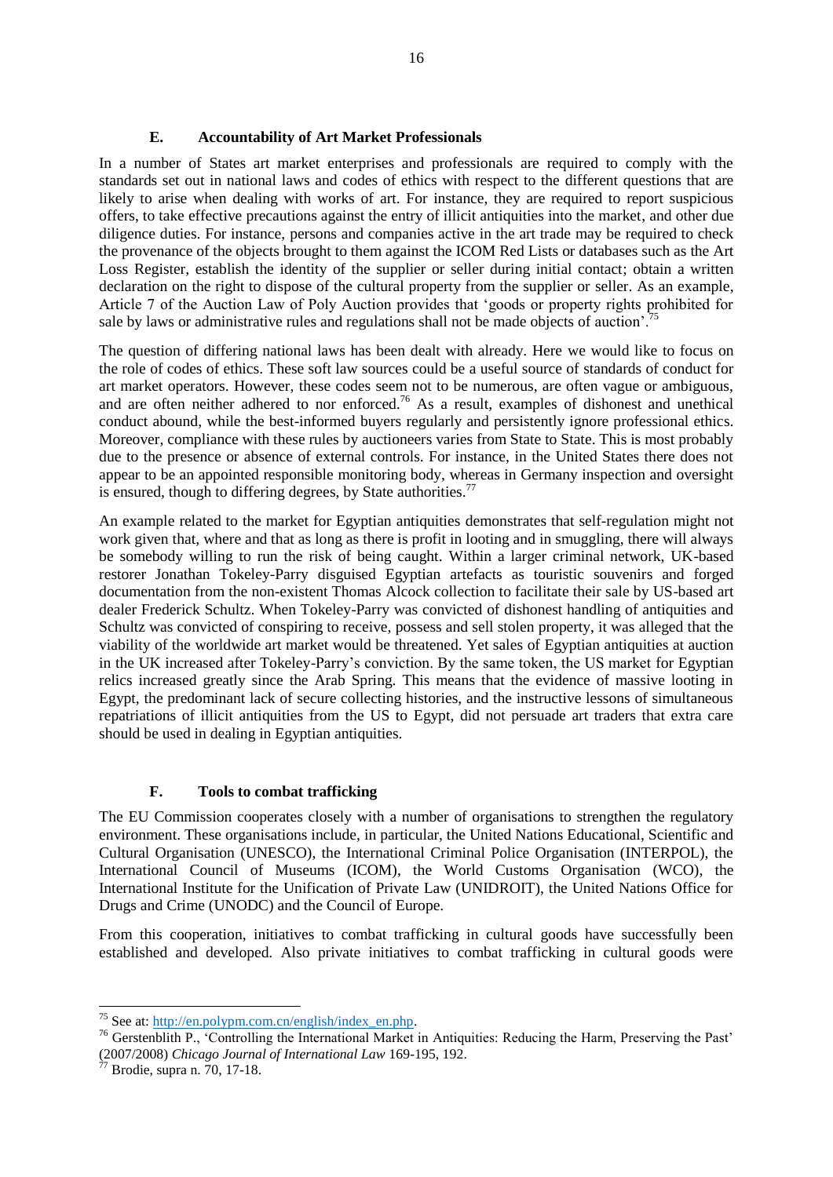# **E. Accountability of Art Market Professionals**

<span id="page-15-0"></span>In a number of States art market enterprises and professionals are required to comply with the standards set out in national laws and codes of ethics with respect to the different questions that are likely to arise when dealing with works of art. For instance, they are required to report suspicious offers, to take effective precautions against the entry of illicit antiquities into the market, and other due diligence duties. For instance, persons and companies active in the art trade may be required to check the provenance of the objects brought to them against the ICOM Red Lists or databases such as the Art Loss Register, establish the identity of the supplier or seller during initial contact; obtain a written declaration on the right to dispose of the cultural property from the supplier or seller. As an example, Article 7 of the Auction Law of Poly Auction provides that 'goods or property rights prohibited for sale by laws or administrative rules and regulations shall not be made objects of auction<sup>'. 75</sup>

The question of differing national laws has been dealt with already. Here we would like to focus on the role of codes of ethics. These soft law sources could be a useful source of standards of conduct for art market operators. However, these codes seem not to be numerous, are often vague or ambiguous, and are often neither adhered to nor enforced.<sup>76</sup> As a result, examples of dishonest and unethical conduct abound, while the best-informed buyers regularly and persistently ignore professional ethics. Moreover, compliance with these rules by auctioneers varies from State to State. This is most probably due to the presence or absence of external controls. For instance, in the United States there does not appear to be an appointed responsible monitoring body, whereas in Germany inspection and oversight is ensured, though to differing degrees, by State authorities.<sup>77</sup>

An example related to the market for Egyptian antiquities demonstrates that self-regulation might not work given that, where and that as long as there is profit in looting and in smuggling, there will always be somebody willing to run the risk of being caught. Within a larger criminal network, UK-based restorer Jonathan Tokeley-Parry disguised Egyptian artefacts as touristic souvenirs and forged documentation from the non-existent Thomas Alcock collection to facilitate their sale by US-based art dealer Frederick Schultz. When Tokeley-Parry was convicted of dishonest handling of antiquities and Schultz was convicted of conspiring to receive, possess and sell stolen property, it was alleged that the viability of the worldwide art market would be threatened. Yet sales of Egyptian antiquities at auction in the UK increased after Tokeley-Parry's conviction. By the same token, the US market for Egyptian relics increased greatly since the Arab Spring. This means that the evidence of massive looting in Egypt, the predominant lack of secure collecting histories, and the instructive lessons of simultaneous repatriations of illicit antiquities from the US to Egypt, did not persuade art traders that extra care should be used in dealing in Egyptian antiquities.

# **F. Tools to combat trafficking**

<span id="page-15-1"></span>The EU Commission cooperates closely with a number of organisations to strengthen the regulatory environment. These organisations include, in particular, the United Nations Educational, Scientific and Cultural Organisation (UNESCO), the International Criminal Police Organisation (INTERPOL), the International Council of Museums (ICOM), the World Customs Organisation (WCO), the International Institute for the Unification of Private Law (UNIDROIT), the United Nations Office for Drugs and Crime (UNODC) and the Council of Europe.

From this cooperation, initiatives to combat trafficking in cultural goods have successfully been established and developed. Also private initiatives to combat trafficking in cultural goods were

<sup>&</sup>lt;sup>75</sup> See at: [http://en.polypm.com.cn/english/index\\_en.php.](http://en.polypm.com.cn/english/index_en.php)

<sup>&</sup>lt;sup>76</sup> Gerstenblith P., 'Controlling the International Market in Antiquities: Reducing the Harm, Preserving the Past' (2007/2008) *Chicago Journal of International Law* 169-195, 192.

 $\gamma$ <sup>77</sup> Brodie, supra n. [70,](#page-14-1) 17-18.